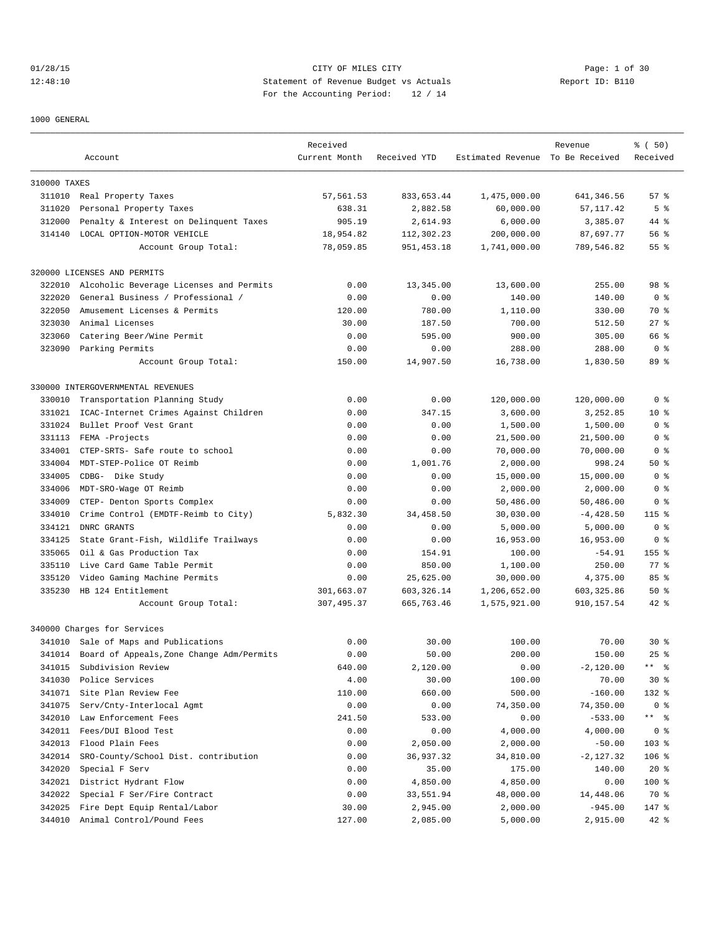# 01/28/15 CITY OF MILES CITY Page: 1 of 30 12:48:10 Statement of Revenue Budget vs Actuals Report ID: B110 For the Accounting Period: 12 / 14

1000 GENERAL

|              | Account                                   | Received<br>Current Month       | Received YTD | Estimated Revenue To Be Received | Revenue                    | % ( 50)<br>Received  |
|--------------|-------------------------------------------|---------------------------------|--------------|----------------------------------|----------------------------|----------------------|
|              |                                           |                                 |              |                                  |                            |                      |
| 310000 TAXES |                                           |                                 |              |                                  |                            |                      |
| 311010       | Real Property Taxes                       | 57,561.53                       | 833, 653.44  | 1,475,000.00                     | 641, 346.56                | 57%                  |
| 311020       | Personal Property Taxes                   | 638.31                          | 2,882.58     | 60,000.00                        | 57, 117.42                 | 5 <sup>8</sup>       |
| 312000       | Penalty & Interest on Delinquent Taxes    | 905.19                          | 2,614.93     | 6,000.00                         | 3,385.07                   | 44 %                 |
| 314140       | LOCAL OPTION-MOTOR VEHICLE                | 18,954.82                       | 112,302.23   | 200,000.00                       | 87,697.77                  | 56%                  |
|              | Account Group Total:                      | 78,059.85                       | 951, 453.18  | 1,741,000.00                     | 789,546.82                 | 55 <sup>8</sup>      |
|              | 320000 LICENSES AND PERMITS               |                                 |              |                                  |                            |                      |
| 322010       | Alcoholic Beverage Licenses and Permits   | 0.00                            | 13,345.00    | 13,600.00                        | 255.00                     | 98 <sup>8</sup>      |
| 322020       | General Business / Professional /         | 0.00                            | 0.00         | 140.00                           | 140.00                     | 0 <sup>8</sup>       |
| 322050       | Amusement Licenses & Permits              | 120.00                          | 780.00       | 1,110.00                         | 330.00                     | 70 %                 |
| 323030       | Animal Licenses                           | 30.00                           | 187.50       | 700.00                           | 512.50                     | $27$ %               |
| 323060       | Catering Beer/Wine Permit                 | 0.00                            | 595.00       | 900.00                           | 305.00                     | 66 %                 |
|              | 323090 Parking Permits                    | 0.00                            | 0.00         | 288.00                           | 288.00                     | 0 <sup>8</sup>       |
|              | Account Group Total:                      | 150.00                          | 14,907.50    | 16,738.00                        | 1,830.50                   | 89 %                 |
|              | 330000 INTERGOVERNMENTAL REVENUES         |                                 |              |                                  |                            |                      |
| 330010       | Transportation Planning Study             | 0.00                            | 0.00         | 120,000.00                       | 120,000.00                 | 0 <sup>8</sup>       |
| 331021       | ICAC-Internet Crimes Against Children     | 0.00                            | 347.15       | 3,600.00                         | 3,252.85                   | $10*$                |
| 331024       | Bullet Proof Vest Grant                   | 0.00                            | 0.00         | 1,500.00                         | 1,500.00                   | 0 <sup>8</sup>       |
| 331113       | FEMA -Projects                            | 0.00                            | 0.00         | 21,500.00                        | 21,500.00                  | 0 %                  |
| 334001       | CTEP-SRTS- Safe route to school           | 0.00                            | 0.00         | 70,000.00                        | 70,000.00                  | 0 <sub>8</sub>       |
| 334004       | MDT-STEP-Police OT Reimb                  | 0.00                            | 1,001.76     | 2,000.00                         | 998.24                     | 50%                  |
| 334005       | CDBG- Dike Study                          | 0.00                            | 0.00         | 15,000.00                        | 15,000.00                  | 0 <sup>8</sup>       |
| 334006       | MDT-SRO-Wage OT Reimb                     | 0.00                            | 0.00         | 2,000.00                         | 2,000.00                   | 0 <sub>8</sub>       |
| 334009       | CTEP- Denton Sports Complex               | 0.00                            | 0.00         | 50,486.00                        | 50,486.00                  | 0 %                  |
| 334010       | Crime Control (EMDTF-Reimb to City)       | 5,832.30                        | 34,458.50    | 30,030.00                        | $-4,428.50$                | $115$ %              |
| 334121       | DNRC GRANTS                               | 0.00                            | 0.00         | 5,000.00                         | 5,000.00                   | 0 <sub>8</sub>       |
| 334125       | State Grant-Fish, Wildlife Trailways      | 0.00                            | 0.00         | 16,953.00                        | 16,953.00                  | 0 <sup>8</sup>       |
| 335065       | Oil & Gas Production Tax                  | 0.00                            | 154.91       | 100.00                           | $-54.91$                   | $155$ %              |
| 335110       | Live Card Game Table Permit               | 0.00                            | 850.00       |                                  | 250.00                     | 77.8                 |
|              |                                           |                                 |              | 1,100.00                         |                            |                      |
| 335120       | Video Gaming Machine Permits              | 0.00                            | 25,625.00    | 30,000.00                        | 4,375.00                   | 85%                  |
| 335230       | HB 124 Entitlement                        | 301,663.07<br>307, 495.37       | 603, 326.14  | 1,206,652.00                     | 603, 325.86<br>910, 157.54 | 50%<br>$42$ %        |
|              | Account Group Total:                      |                                 | 665,763.46   | 1,575,921.00                     |                            |                      |
|              | 340000 Charges for Services               |                                 |              |                                  |                            |                      |
|              | 341010 Sale of Maps and Publications      | 0.00                            | 30.00        | 100.00                           | 70.00                      | $30*$                |
| 341014       | Board of Appeals, Zone Change Adm/Permits | 0.00                            | 50.00        | 200.00                           | 150.00                     | $25$ $%$             |
| 341015       | Subdivision Review                        | 640.00                          | 2,120.00     | 0.00                             | $-2,120.00$                | $***$ $ \frac{6}{9}$ |
| 341030       | Police Services                           | 4.00                            | 30.00        | 100.00                           | 70.00                      | $30*$                |
| 341071       | Site Plan Review Fee                      | 110.00                          | 660.00       | 500.00                           | $-160.00$                  | 132 %                |
| 341075       | Serv/Cnty-Interlocal Agmt                 | 0.00                            | 0.00         | 74,350.00                        | 74,350.00                  | 0 <sub>8</sub>       |
| 342010       | Law Enforcement Fees                      | 241.50                          | 533.00       | 0.00                             | $-533.00$                  | ** 응                 |
| 342011       | Fees/DUI Blood Test                       | 0.00                            | 0.00         | 4,000.00                         | 4,000.00                   | 0 <sup>8</sup>       |
| 342013       | Flood Plain Fees                          | 0.00                            | 2,050.00     | 2,000.00                         | $-50.00$                   | 103 %                |
| 342014       | SRO-County/School Dist. contribution      | 0.00                            | 36,937.32    | 34,810.00                        | $-2,127.32$                | $106$ %              |
| 342020       | Special F Serv                            | 0.00                            | 35.00        | 175.00                           | 140.00                     | $20*$                |
| 342021       | District Hydrant Flow                     | 0.00                            | 4,850.00     | 4,850.00                         | 0.00                       | 100 %                |
| 342022       | Special F Ser/Fire Contract               | ${\bf 0}$ . ${\bf 0}$ ${\bf 0}$ | 33,551.94    | 48,000.00                        | 14,448.06                  | 70 %                 |
| 342025       | Fire Dept Equip Rental/Labor              | 30.00                           | 2,945.00     | 2,000.00                         | $-945.00$                  | 147 %                |
| 344010       | Animal Control/Pound Fees                 | 127.00                          | 2,085.00     | 5,000.00                         | 2,915.00                   | 42 %                 |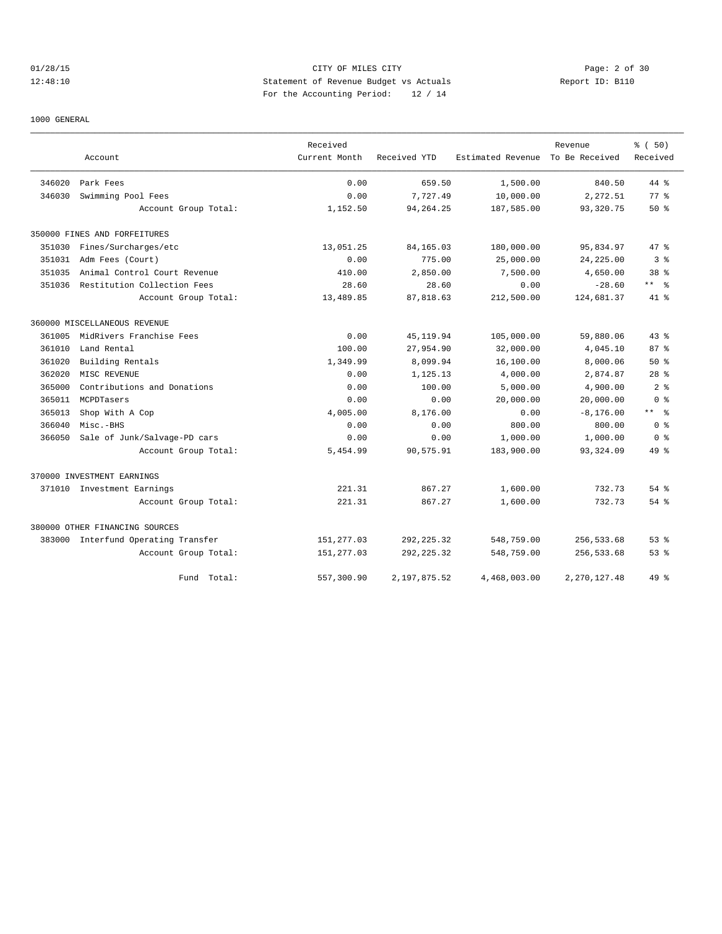# 01/28/15 CITY OF MILES CITY Page: 2 of 30 12:48:10 Statement of Revenue Budget vs Actuals Report ID: B110 For the Accounting Period: 12 / 14

#### 1000 GENERAL

|        |                                     | Received      |              |                   | Revenue        | 8 ( 50)         |
|--------|-------------------------------------|---------------|--------------|-------------------|----------------|-----------------|
|        | Account                             | Current Month | Received YTD | Estimated Revenue | To Be Received | Received        |
| 346020 | Park Fees                           | 0.00          | 659.50       | 1,500.00          | 840.50         | $44$ $%$        |
| 346030 | Swimming Pool Fees                  | 0.00          | 7,727.49     | 10,000.00         | 2,272.51       | 77.8            |
|        | Account Group Total:                | 1,152.50      | 94, 264. 25  | 187,585.00        | 93,320.75      | 50%             |
|        | 350000 FINES AND FORFEITURES        |               |              |                   |                |                 |
| 351030 | Fines/Surcharges/etc                | 13,051.25     | 84, 165.03   | 180,000.00        | 95,834.97      | 47.8            |
| 351031 | Adm Fees (Court)                    | 0.00          | 775.00       | 25,000.00         | 24, 225.00     | 3 <sup>8</sup>  |
| 351035 | Animal Control Court Revenue        | 410.00        | 2,850.00     | 7,500.00          | 4,650.00       | 38 <sup>8</sup> |
| 351036 | Restitution Collection Fees         | 28.60         | 28.60        | 0.00              | $-28.60$       | $***$ %         |
|        | Account Group Total:                | 13,489.85     | 87,818.63    | 212,500.00        | 124,681.37     | $41 \text{ }$   |
|        | 360000 MISCELLANEOUS REVENUE        |               |              |                   |                |                 |
| 361005 | MidRivers Franchise Fees            | 0.00          | 45, 119.94   | 105,000.00        | 59,880.06      | 43.8            |
| 361010 | Land Rental                         | 100.00        | 27,954.90    | 32,000.00         | 4,045.10       | 87%             |
| 361020 | Building Rentals                    | 1,349.99      | 8,099.94     | 16,100.00         | 8,000.06       | 50%             |
| 362020 | MISC REVENUE                        | 0.00          | 1,125.13     | 4,000.00          | 2,874.87       | $28$ %          |
| 365000 | Contributions and Donations         | 0.00          | 100.00       | 5,000.00          | 4,900.00       | 2 <sup>8</sup>  |
| 365011 | MCPDTasers                          | 0.00          | 0.00         | 20,000.00         | 20,000.00      | 0 <sup>8</sup>  |
| 365013 | Shop With A Cop                     | 4,005.00      | 8,176.00     | 0.00              | $-8, 176.00$   | $***$ %         |
| 366040 | Misc.-BHS                           | 0.00          | 0.00         | 800.00            | 800.00         | 0 <sup>8</sup>  |
| 366050 | Sale of Junk/Salvage-PD cars        | 0.00          | 0.00         | 1,000.00          | 1,000.00       | 0 <sup>8</sup>  |
|        | Account Group Total:                | 5,454.99      | 90,575.91    | 183,900.00        | 93,324.09      | 49 %            |
|        | 370000 INVESTMENT EARNINGS          |               |              |                   |                |                 |
|        | 371010 Investment Earnings          | 221.31        | 867.27       | 1,600.00          | 732.73         | $54$ $%$        |
|        | Account Group Total:                | 221.31        | 867.27       | 1,600.00          | 732.73         | $54$ $%$        |
|        | 380000 OTHER FINANCING SOURCES      |               |              |                   |                |                 |
|        | 383000 Interfund Operating Transfer | 151, 277.03   | 292, 225.32  | 548,759.00        | 256,533.68     | 53%             |
|        | Account Group Total:                | 151,277.03    | 292, 225.32  | 548,759.00        | 256,533.68     | 53%             |
|        | Fund Total:                         | 557,300.90    | 2,197,875.52 | 4,468,003.00      | 2, 270, 127.48 | 49.8            |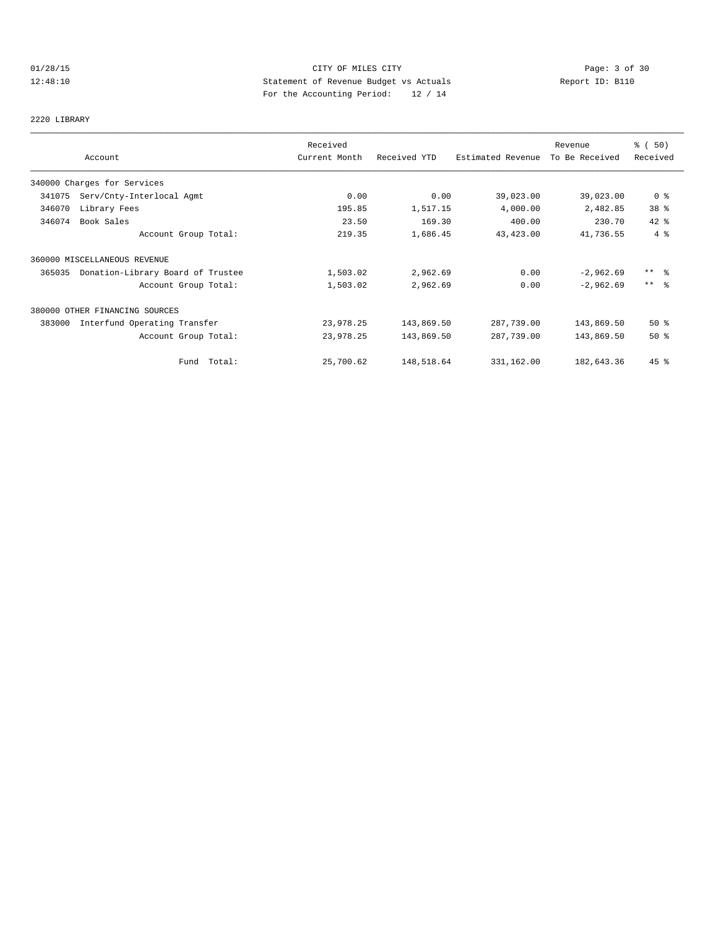# 01/28/15 CITY OF MILES CITY Page: 3 of 30 12:48:10 Statement of Revenue Budget vs Actuals Report ID: B110 For the Accounting Period: 12 / 14

# 2220 LIBRARY

|        |                                   | Received      |              |                   | Revenue        | % (50)              |
|--------|-----------------------------------|---------------|--------------|-------------------|----------------|---------------------|
|        | Account                           | Current Month | Received YTD | Estimated Revenue | To Be Received | Received            |
|        | 340000 Charges for Services       |               |              |                   |                |                     |
| 341075 | Serv/Cnty-Interlocal Agmt         | 0.00          | 0.00         | 39,023.00         | 39,023.00      | 0 <sup>8</sup>      |
| 346070 | Library Fees                      | 195.85        | 1,517.15     | 4,000.00          | 2,482.85       | 38 <sup>8</sup>     |
| 346074 | Book Sales                        | 23.50         | 169.30       | 400.00            | 230.70         | $42$ %              |
|        | Account Group Total:              | 219.35        | 1,686.45     | 43,423.00         | 41,736.55      | 4%                  |
|        | 360000 MISCELLANEOUS REVENUE      |               |              |                   |                |                     |
| 365035 | Donation-Library Board of Trustee | 1,503.02      | 2,962.69     | 0.00              | $-2,962.69$    | $***$ $\frac{6}{6}$ |
|        | Account Group Total:              | 1,503.02      | 2,962.69     | 0.00              | $-2,962.69$    | $***$ $ -$          |
|        | 380000 OTHER FINANCING SOURCES    |               |              |                   |                |                     |
| 383000 | Interfund Operating Transfer      | 23,978.25     | 143,869.50   | 287,739.00        | 143,869.50     | $50*$               |
|        | Account Group Total:              | 23,978.25     | 143,869.50   | 287,739.00        | 143,869.50     | 50%                 |
|        | Fund Total:                       | 25,700.62     | 148,518.64   | 331,162.00        | 182,643.36     | 45 %                |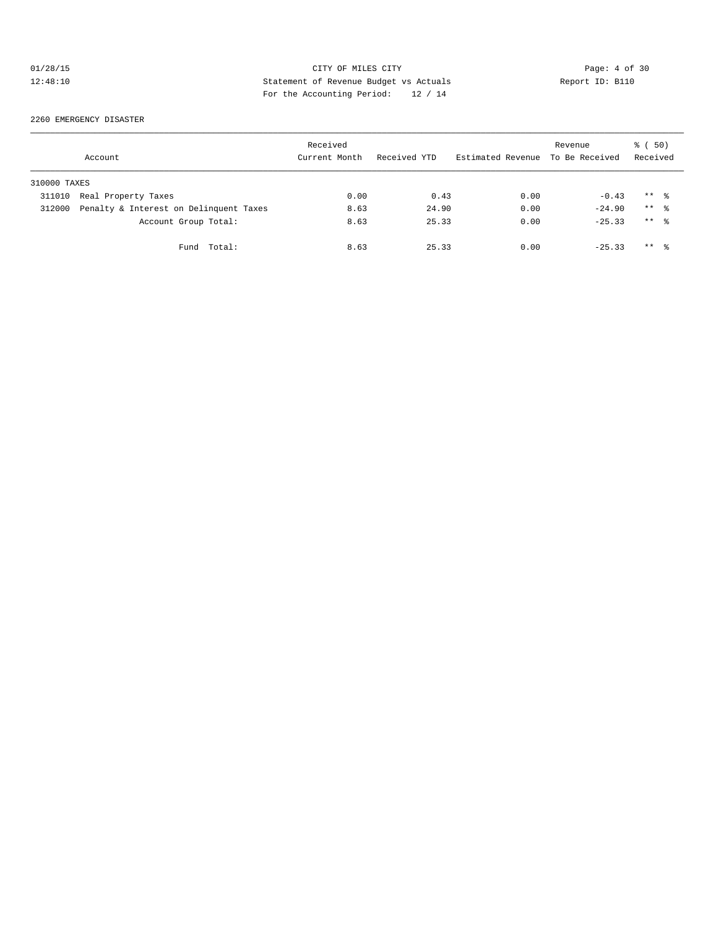# 01/28/15 CITY OF MILES CITY Page: 4 of 30<br>12:48:10 Statement of Revenue Budget vs Actuals Report ID: B110<br>Por the Accumular Deviced: 20.4.14 12:48:10 Statement of Revenue Budget vs Actuals Report ID: B110 For the Accounting Period: 12 / 14

#### 2260 EMERGENCY DISASTER

|              | Account                                | Received<br>Current Month | Received YTD | Estimated Revenue To Be Received | Revenue  | ៖ (50)<br>Received  |
|--------------|----------------------------------------|---------------------------|--------------|----------------------------------|----------|---------------------|
| 310000 TAXES |                                        |                           |              |                                  |          |                     |
| 311010       | Real Property Taxes                    | 0.00                      | 0.43         | 0.00                             | $-0.43$  | $***$ $\frac{6}{3}$ |
| 312000       | Penalty & Interest on Delinquent Taxes | 8.63                      | 24.90        | 0.00                             | $-24.90$ | $***$ 8             |
|              | Account Group Total:                   | 8.63                      | 25.33        | 0.00                             | $-25.33$ | $***$ %             |
|              | Fund Total:                            | 8.63                      | 25.33        | 0.00                             | $-25.33$ | $***$ %             |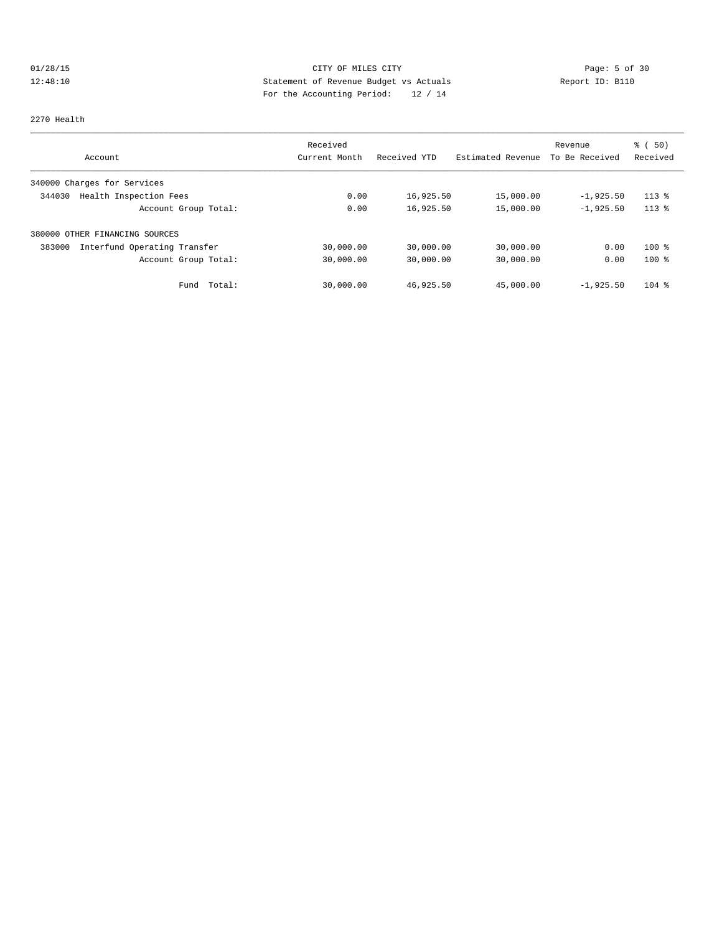# 01/28/15 CITY OF MILES CITY Page: 5 of 30<br>12:48:10 Statement of Revenue Budget vs Actuals Report ID: B110<br>Por the Accumular Deviced: 20.4.14 12:48:10 Statement of Revenue Budget vs Actuals Report ID: B110 For the Accounting Period: 12 / 14

#### 2270 Health

|                                        | Received      |              |                   | Revenue        | 8 ( 50)  |
|----------------------------------------|---------------|--------------|-------------------|----------------|----------|
| Account                                | Current Month | Received YTD | Estimated Revenue | To Be Received | Received |
| 340000 Charges for Services            |               |              |                   |                |          |
| Health Inspection Fees<br>344030       | 0.00          | 16,925.50    | 15,000.00         | $-1,925.50$    | $113*$   |
| Account Group Total:                   | 0.00          | 16,925.50    | 15,000.00         | $-1,925.50$    | $113*$   |
| 380000 OTHER FINANCING SOURCES         |               |              |                   |                |          |
| Interfund Operating Transfer<br>383000 | 30,000.00     | 30,000.00    | 30,000.00         | 0.00           | $100*$   |
| Account Group Total:                   | 30,000.00     | 30,000.00    | 30,000.00         | 0.00           | $100*$   |
| Total:<br>Fund                         | 30,000.00     | 46,925.50    | 45,000.00         | $-1,925.50$    | $104$ %  |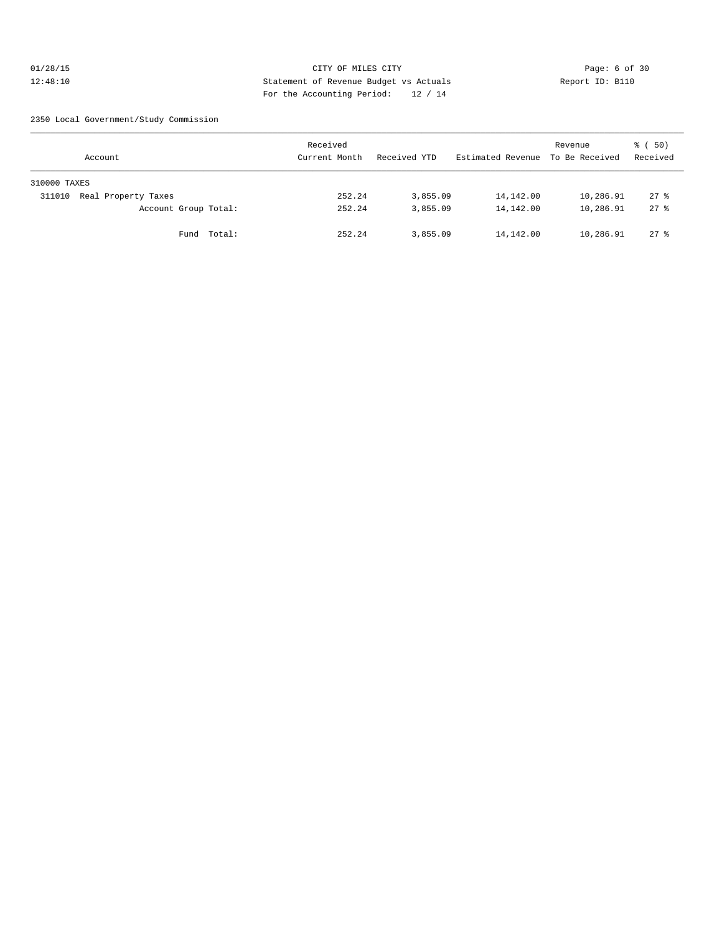# 01/28/15 CITY OF MILES CITY Page: 6 of 30 12:48:10 Statement of Revenue Budget vs Actuals Report ID: B110 For the Accounting Period: 12 / 14

2350 Local Government/Study Commission

| Account                       | Received<br>Current Month | Received YTD | Estimated Revenue | Revenue<br>To Be Received | 8 ( 50)<br>Received |
|-------------------------------|---------------------------|--------------|-------------------|---------------------------|---------------------|
| 310000 TAXES                  |                           |              |                   |                           |                     |
| Real Property Taxes<br>311010 | 252.24                    | 3,855.09     | 14,142.00         | 10,286.91                 | $27$ $\frac{6}{5}$  |
| Account Group Total:          | 252.24                    | 3,855.09     | 14,142.00         | 10,286.91                 | $27$ $\frac{6}{5}$  |
| Fund Total:                   | 252.24                    | 3,855.09     | 14,142.00         | 10,286.91                 | $27$ $\frac{6}{5}$  |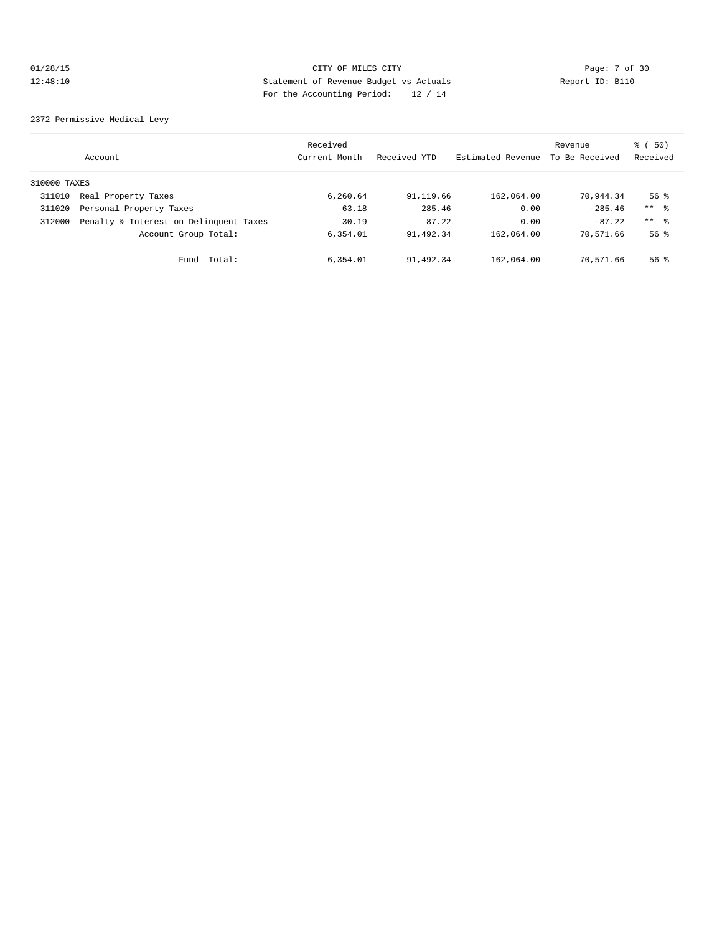# 01/28/15 CITY OF MILES CITY Page: 7 of 30 12:48:10 Statement of Revenue Budget vs Actuals Report ID: B110 For the Accounting Period: 12 / 14

2372 Permissive Medical Levy

|              | Account                                | Received<br>Current Month | Received YTD | Estimated Revenue | Revenue<br>To Be Received | 8 ( 50)<br>Received |
|--------------|----------------------------------------|---------------------------|--------------|-------------------|---------------------------|---------------------|
| 310000 TAXES |                                        |                           |              |                   |                           |                     |
| 311010       | Real Property Taxes                    | 6,260.64                  | 91,119.66    | 162,064.00        | 70,944.34                 | 56 <sup>8</sup>     |
| 311020       | Personal Property Taxes                | 63.18                     | 285.46       | 0.00              | $-285.46$                 | $***$ $\approx$     |
| 312000       | Penalty & Interest on Delinquent Taxes | 30.19                     | 87.22        | 0.00              | $-87.22$                  | $***$ $\approx$     |
|              | Account Group Total:                   | 6,354.01                  | 91,492.34    | 162,064.00        | 70,571.66                 | 56 <sup>8</sup>     |
|              | Total:<br>Fund                         | 6,354.01                  | 91,492.34    | 162,064.00        | 70,571.66                 | 56 %                |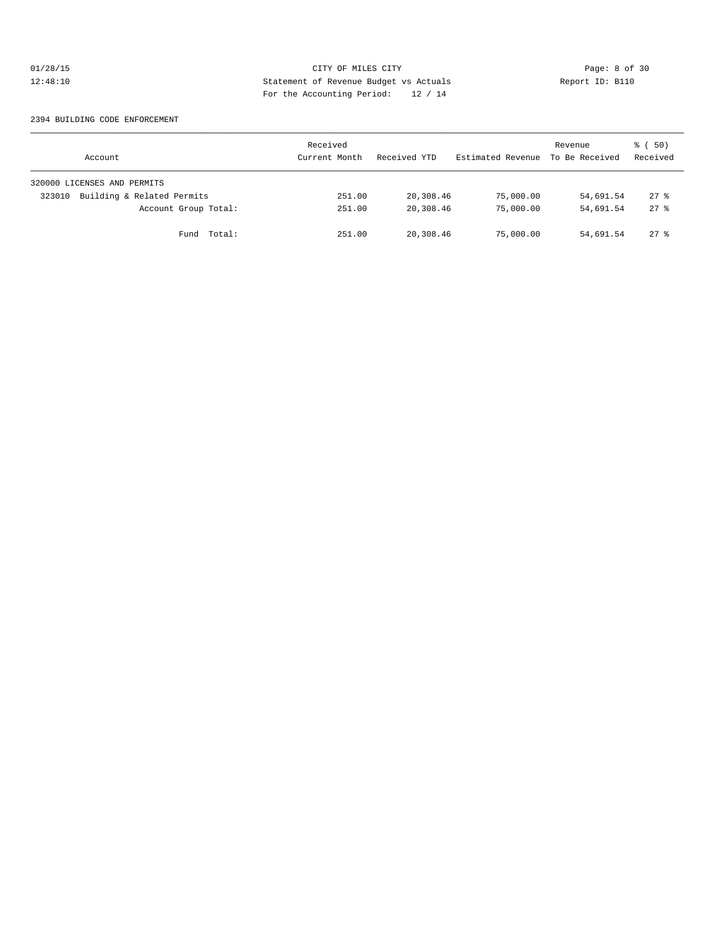# 01/28/15 CITY OF MILES CITY Page: 8 of 30<br>12:48:10 Statement of Revenue Budget vs Actuals Report ID: B110<br>2014 Page: the National Page of Actual Page: 11 12:48:10 Statement of Revenue Budget vs Actuals Report ID: B110 For the Accounting Period: 12 / 14

#### 2394 BUILDING CODE ENFORCEMENT

| Account                              | Received<br>Current Month | Received YTD | Estimated Revenue | Revenue<br>To Be Received | 8 ( 50)<br>Received |
|--------------------------------------|---------------------------|--------------|-------------------|---------------------------|---------------------|
| 320000 LICENSES AND PERMITS          |                           |              |                   |                           |                     |
| Building & Related Permits<br>323010 | 251.00                    | 20,308.46    | 75,000.00         | 54,691.54                 | $27$ %              |
| Account Group Total:                 | 251.00                    | 20,308.46    | 75,000.00         | 54,691.54                 | $27$ $\frac{6}{3}$  |
| Fund Total:                          | 251.00                    | 20,308.46    | 75,000.00         | 54,691.54                 | $27$ $\frac{6}{3}$  |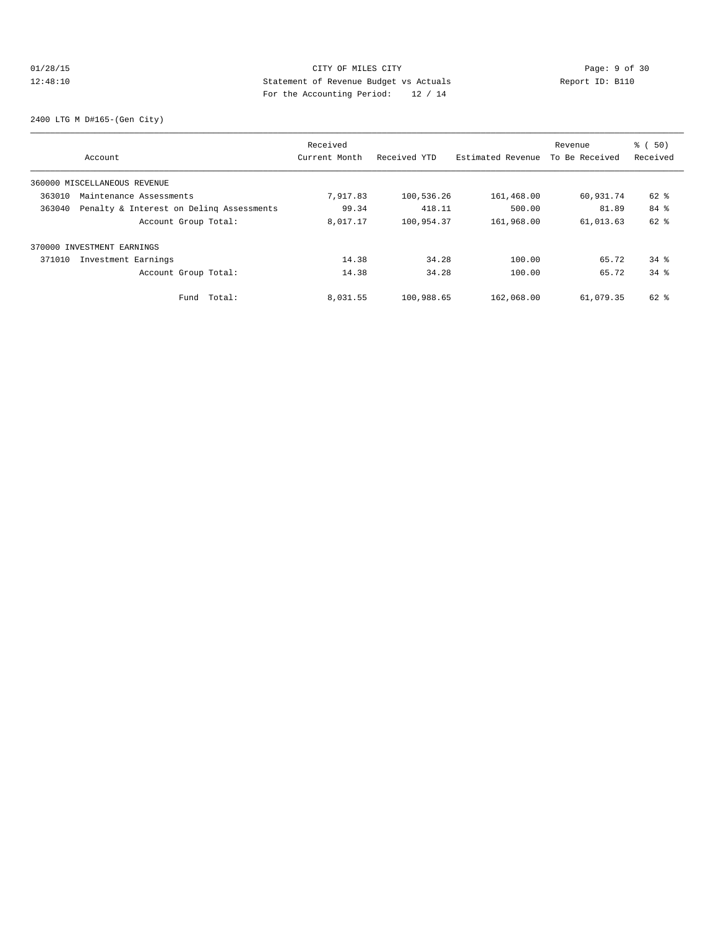# 01/28/15 Page: 9 of 30 12:48:10 Statement of Revenue Budget vs Actuals Report ID: B110 For the Accounting Period: 12 / 14

2400 LTG M D#165-(Gen City)

|        |                                          | Received      |              |                   | Revenue        | % ( 50)  |
|--------|------------------------------------------|---------------|--------------|-------------------|----------------|----------|
|        | Account                                  | Current Month | Received YTD | Estimated Revenue | To Be Received | Received |
|        | 360000 MISCELLANEOUS REVENUE             |               |              |                   |                |          |
| 363010 | Maintenance Assessments                  | 7,917.83      | 100,536.26   | 161,468.00        | 60,931.74      | 62 %     |
| 363040 | Penalty & Interest on Deling Assessments | 99.34         | 418.11       | 500.00            | 81.89          | 84 %     |
|        | Account Group Total:                     | 8,017.17      | 100,954.37   | 161,968.00        | 61,013.63      | 62 %     |
|        | 370000 INVESTMENT EARNINGS               |               |              |                   |                |          |
| 371010 | Investment Earnings                      | 14.38         | 34.28        | 100.00            | 65.72          | $34*$    |
|        | Account Group Total:                     | 14.38         | 34.28        | 100.00            | 65.72          | $34$ $%$ |
|        | Total:<br>Fund                           | 8,031.55      | 100,988.65   | 162,068.00        | 61,079.35      | $62$ $%$ |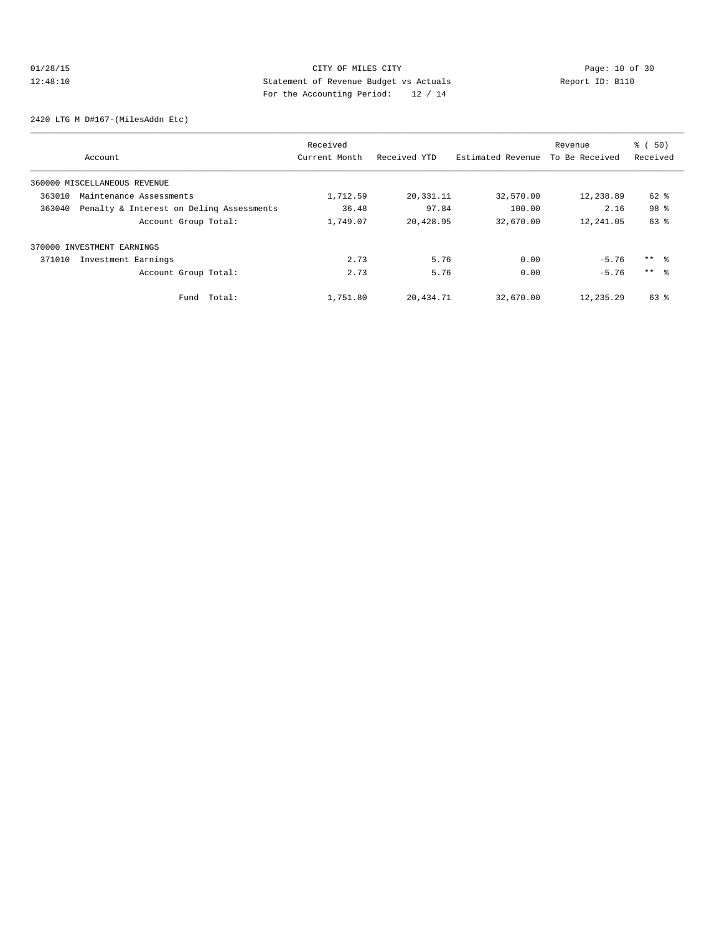# 01/28/15 Page: 10 of 30 12:48:10 Statement of Revenue Budget vs Actuals Report ID: B110 For the Accounting Period: 12 / 14

2420 LTG M D#167-(MilesAddn Etc)

|        |                                          | Received      |              |                   | Revenue        | $\frac{1}{6}$ (50) |
|--------|------------------------------------------|---------------|--------------|-------------------|----------------|--------------------|
|        | Account                                  | Current Month | Received YTD | Estimated Revenue | To Be Received | Received           |
|        | 360000 MISCELLANEOUS REVENUE             |               |              |                   |                |                    |
| 363010 | Maintenance Assessments                  | 1,712.59      | 20,331.11    | 32,570.00         | 12,238.89      | 62 %               |
| 363040 | Penalty & Interest on Deling Assessments | 36.48         | 97.84        | 100.00            | 2.16           | 98 %               |
|        | Account Group Total:                     | 1,749.07      | 20,428.95    | 32,670.00         | 12,241.05      | 63 %               |
|        | 370000 INVESTMENT EARNINGS               |               |              |                   |                |                    |
| 371010 | Investment Earnings                      | 2.73          | 5.76         | 0.00              | $-5.76$        | $***$ 8            |
|        | Account Group Total:                     | 2.73          | 5.76         | 0.00              | $-5.76$        | $***$ $\approx$    |
|        | Total:<br>Fund                           | 1,751.80      | 20,434.71    | 32,670.00         | 12,235.29      | 63 %               |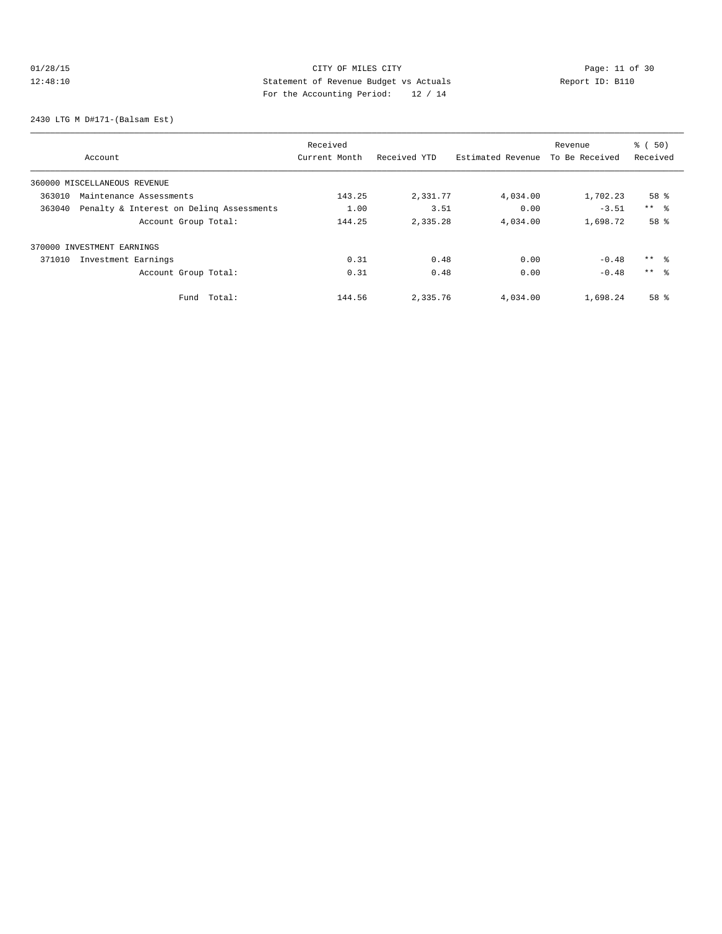# 01/28/15 Page: 11 of 30 12:48:10 Statement of Revenue Budget vs Actuals Report ID: B110<br>Report ID: B110 For the Accounting Period: 12 / 14

2430 LTG M D#171-(Balsam Est)

|        |                                          | Received      |              |                   | Revenue        | $\frac{1}{6}$ (50) |
|--------|------------------------------------------|---------------|--------------|-------------------|----------------|--------------------|
|        | Account                                  | Current Month | Received YTD | Estimated Revenue | To Be Received | Received           |
|        | 360000 MISCELLANEOUS REVENUE             |               |              |                   |                |                    |
| 363010 | Maintenance Assessments                  | 143.25        | 2,331.77     | 4,034.00          | 1,702.23       | 58 %               |
| 363040 | Penalty & Interest on Deling Assessments | 1.00          | 3.51         | 0.00              | $-3.51$        | $***$ $ -$         |
|        | Account Group Total:                     | 144.25        | 2,335.28     | 4,034.00          | 1,698.72       | 58 %               |
|        | 370000 INVESTMENT EARNINGS               |               |              |                   |                |                    |
| 371010 | Investment Earnings                      | 0.31          | 0.48         | 0.00              | $-0.48$        | $***$ $ -$         |
|        | Account Group Total:                     | 0.31          | 0.48         | 0.00              | $-0.48$        | $***$ %            |
|        | Total:<br>Fund                           | 144.56        | 2,335.76     | 4,034.00          | 1,698.24       | 58 %               |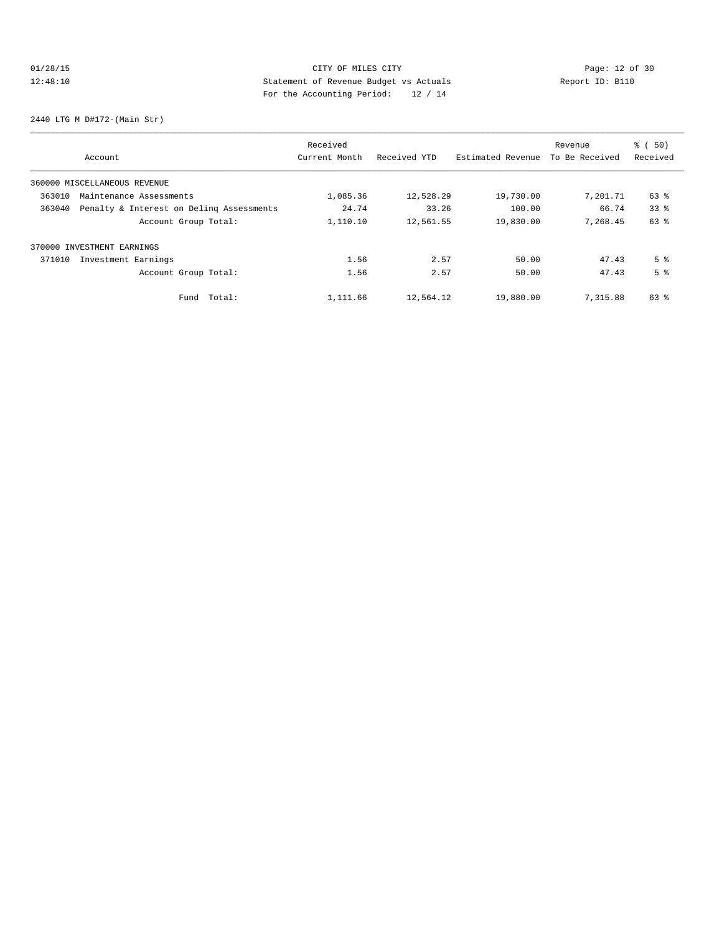# 01/28/15 Page: 12 of 30 12:48:10 Statement of Revenue Budget vs Actuals Report ID: B110 For the Accounting Period: 12 / 14

2440 LTG M D#172-(Main Str)

|        |                                          | Received      |              |                   | Revenue        | % ( 50)        |
|--------|------------------------------------------|---------------|--------------|-------------------|----------------|----------------|
|        | Account                                  | Current Month | Received YTD | Estimated Revenue | To Be Received | Received       |
|        | 360000 MISCELLANEOUS REVENUE             |               |              |                   |                |                |
| 363010 | Maintenance Assessments                  | 1,085.36      | 12,528.29    | 19,730.00         | 7,201.71       | 63 %           |
| 363040 | Penalty & Interest on Deling Assessments | 24.74         | 33.26        | 100.00            | 66.74          | 338            |
|        | Account Group Total:                     | 1,110.10      | 12,561.55    | 19,830.00         | 7.268.45       | 63 %           |
|        | 370000 INVESTMENT EARNINGS               |               |              |                   |                |                |
| 371010 | Investment Earnings                      | 1.56          | 2.57         | 50.00             | 47.43          | 5 <sup>8</sup> |
|        | Account Group Total:                     | 1.56          | 2.57         | 50.00             | 47.43          | 5 <sup>8</sup> |
|        | Total:<br>Fund                           | 1,111.66      | 12,564.12    | 19,880.00         | 7,315.88       | 63 %           |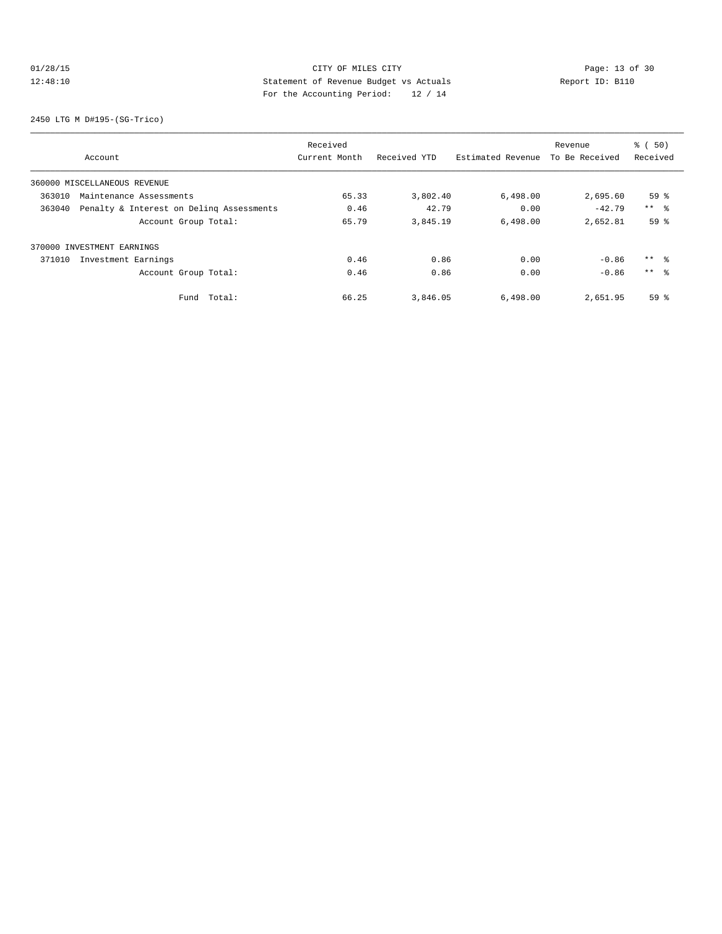# 01/28/15 Page: 13 of 30 12:48:10 Statement of Revenue Budget vs Actuals Report ID: B110 For the Accounting Period: 12 / 14

2450 LTG M D#195-(SG-Trico)

|                                                    | Received      |              |                   | Revenue        | % ( 50)         |
|----------------------------------------------------|---------------|--------------|-------------------|----------------|-----------------|
| Account                                            | Current Month | Received YTD | Estimated Revenue | To Be Received | Received        |
| 360000 MISCELLANEOUS REVENUE                       |               |              |                   |                |                 |
| 363010<br>Maintenance Assessments                  | 65.33         | 3,802.40     | 6,498.00          | 2,695.60       | 59 <sup>8</sup> |
| Penalty & Interest on Deling Assessments<br>363040 | 0.46          | 42.79        | 0.00              | $-42.79$       | $***$ $ -$      |
| Account Group Total:                               | 65.79         | 3,845.19     | 6,498.00          | 2,652.81       | 59 <sup>°</sup> |
| 370000 INVESTMENT EARNINGS                         |               |              |                   |                |                 |
| 371010<br>Investment Earnings                      | 0.46          | 0.86         | 0.00              | $-0.86$        | $***$ $\approx$ |
| Account Group Total:                               | 0.46          | 0.86         | 0.00              | $-0.86$        | $***$ $\approx$ |
| Total:<br>Fund                                     | 66.25         | 3,846.05     | 6,498.00          | 2,651.95       | 59 <sup>°</sup> |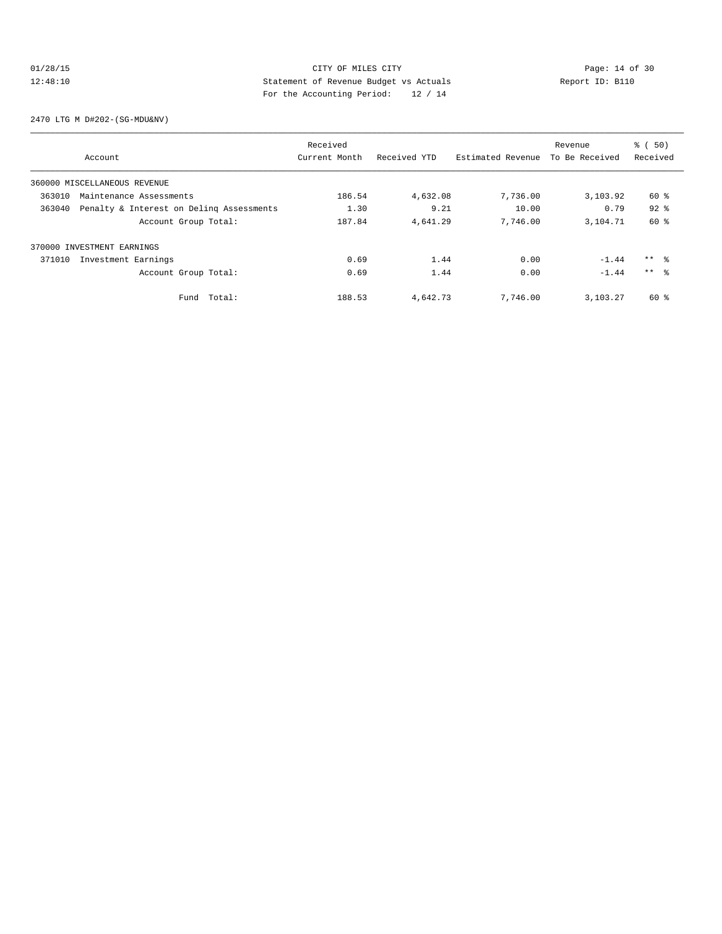# 01/28/15 Page: 14 of 30 12:48:10 Statement of Revenue Budget vs Actuals Report ID: B110 For the Accounting Period: 12 / 14

2470 LTG M D#202-(SG-MDU&NV)

|        |                                          | Received      |              |                   | Revenue        | % ( 50)         |
|--------|------------------------------------------|---------------|--------------|-------------------|----------------|-----------------|
|        | Account                                  | Current Month | Received YTD | Estimated Revenue | To Be Received | Received        |
|        | 360000 MISCELLANEOUS REVENUE             |               |              |                   |                |                 |
| 363010 | Maintenance Assessments                  | 186.54        | 4,632.08     | 7,736.00          | 3,103.92       | 60 %            |
| 363040 | Penalty & Interest on Deling Assessments | 1.30          | 9.21         | 10.00             | 0.79           | $92$ $%$        |
|        | Account Group Total:                     | 187.84        | 4,641.29     | 7.746.00          | 3,104.71       | 60 %            |
|        | 370000 INVESTMENT EARNINGS               |               |              |                   |                |                 |
| 371010 | Investment Earnings                      | 0.69          | 1.44         | 0.00              | $-1.44$        | $***$ %         |
|        | Account Group Total:                     | 0.69          | 1.44         | 0.00              | $-1.44$        | $***$ $\approx$ |
|        | Total:<br>Fund                           | 188.53        | 4,642.73     | 7,746.00          | 3,103.27       | 60 %            |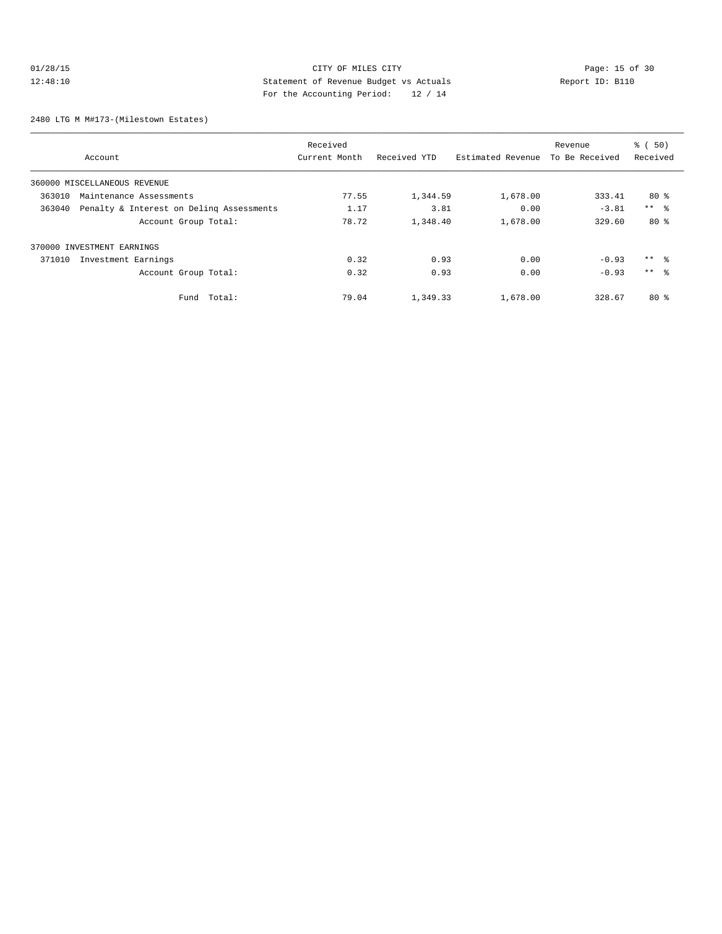# 01/28/15 CITY OF MILES CITY Page: 15 of 30 12:48:10 Statement of Revenue Budget vs Actuals Report ID: B110 For the Accounting Period: 12 / 14

2480 LTG M M#173-(Milestown Estates)

|                                                    | Received      |              |                   | Revenue        | % ( 50)         |
|----------------------------------------------------|---------------|--------------|-------------------|----------------|-----------------|
| Account                                            | Current Month | Received YTD | Estimated Revenue | To Be Received | Received        |
| 360000 MISCELLANEOUS REVENUE                       |               |              |                   |                |                 |
| 363010<br>Maintenance Assessments                  | 77.55         | 1,344.59     | 1,678.00          | 333.41         | 80%             |
| Penalty & Interest on Deling Assessments<br>363040 | 1.17          | 3.81         | 0.00              | $-3.81$        | $***$ %         |
| Account Group Total:                               | 78.72         | 1,348.40     | 1,678.00          | 329.60         | 80%             |
| 370000 INVESTMENT EARNINGS                         |               |              |                   |                |                 |
| 371010<br>Investment Earnings                      | 0.32          | 0.93         | 0.00              | $-0.93$        | $***$ %         |
| Account Group Total:                               | 0.32          | 0.93         | 0.00              | $-0.93$        | $***$ $\approx$ |
| Total:<br>Fund                                     | 79.04         | 1,349.33     | 1,678.00          | 328.67         | 80%             |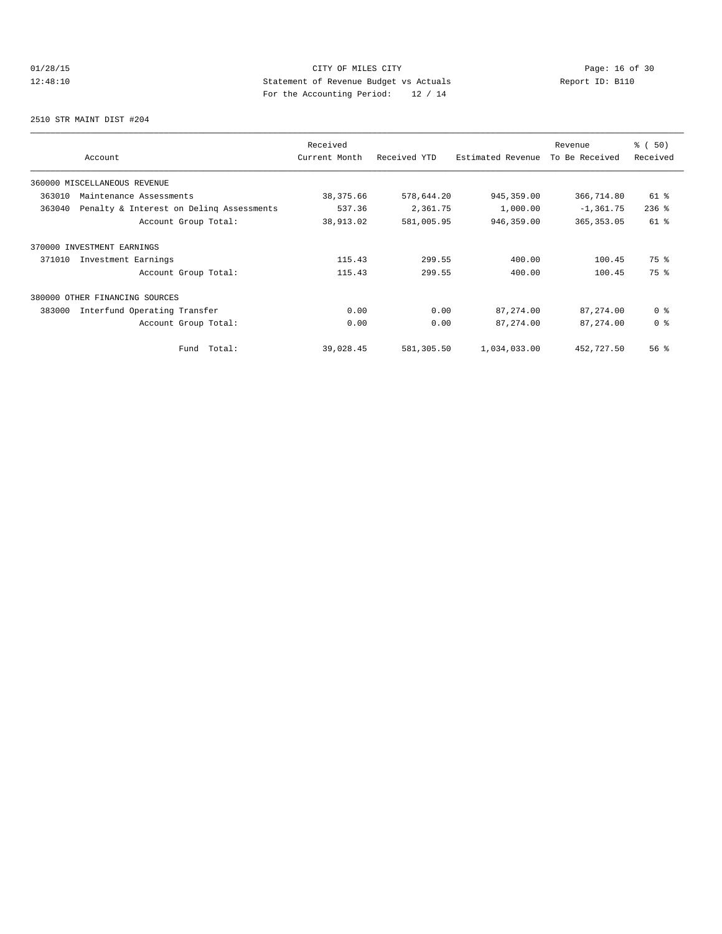# 01/28/15 Page: 16 of 30 12:48:10 Statement of Revenue Budget vs Actuals Report ID: B110<br>Report ID: B110 For the Accounting Period: 12 / 14

2510 STR MAINT DIST #204

| Account                                            | Received<br>Current Month | Received YTD | Estimated Revenue | Revenue<br>To Be Received | % (50)<br>Received |
|----------------------------------------------------|---------------------------|--------------|-------------------|---------------------------|--------------------|
| 360000 MISCELLANEOUS REVENUE                       |                           |              |                   |                           |                    |
| 363010<br>Maintenance Assessments                  | 38, 375.66                | 578,644.20   | 945, 359.00       | 366,714.80                | $61$ %             |
| 363040<br>Penalty & Interest on Deling Assessments | 537.36                    | 2,361.75     | 1,000.00          | $-1, 361.75$              | $236$ %            |
| Account Group Total:                               | 38,913.02                 | 581,005.95   | 946,359.00        | 365, 353.05               | $61$ $%$           |
| 370000 INVESTMENT EARNINGS                         |                           |              |                   |                           |                    |
| Investment Earnings<br>371010                      | 115.43                    | 299.55       | 400.00            | 100.45                    | 75 %               |
| Account Group Total:                               | 115.43                    | 299.55       | 400.00            | 100.45                    | 75 %               |
| 380000<br>OTHER FINANCING SOURCES                  |                           |              |                   |                           |                    |
| 383000<br>Interfund Operating Transfer             | 0.00                      | 0.00         | 87,274.00         | 87, 274.00                | 0 <sup>8</sup>     |
| Account Group Total:                               | 0.00                      | 0.00         | 87, 274.00        | 87, 274.00                | 0 <sup>8</sup>     |
| Total:<br>Fund                                     | 39,028.45                 | 581,305.50   | 1,034,033.00      | 452,727.50                | 56%                |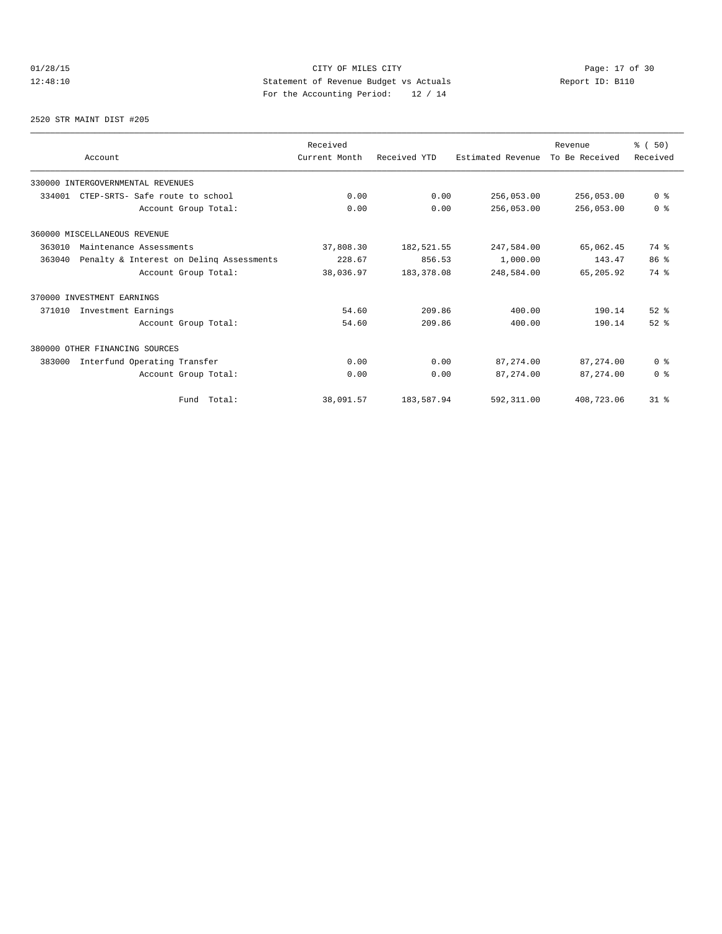# 01/28/15 CITY OF MILES CITY CHE CITY Page: 17 of 30<br>12:48:10 Statement of Revenue Budget vs Actuals Report ID: B110<br>For the Accounting Dominal: 12 (14 12:48:10 Statement of Revenue Budget vs Actuals Report ID: B110 For the Accounting Period: 12 / 14

#### 2520 STR MAINT DIST #205

|                                   |                                          | Received      |              |                   | Revenue        | % (50)         |
|-----------------------------------|------------------------------------------|---------------|--------------|-------------------|----------------|----------------|
| Account                           |                                          | Current Month | Received YTD | Estimated Revenue | To Be Received | Received       |
| 330000 INTERGOVERNMENTAL REVENUES |                                          |               |              |                   |                |                |
| 334001                            | CTEP-SRTS- Safe route to school          | 0.00          | 0.00         | 256,053.00        | 256,053.00     | 0 <sup>8</sup> |
|                                   | Account Group Total:                     | 0.00          | 0.00         | 256,053.00        | 256,053.00     | 0 <sup>8</sup> |
| 360000 MISCELLANEOUS REVENUE      |                                          |               |              |                   |                |                |
| 363010                            | Maintenance Assessments                  | 37,808.30     | 182,521.55   | 247,584.00        | 65,062.45      | 74 %           |
| 363040                            | Penalty & Interest on Deling Assessments | 228.67        | 856.53       | 1,000.00          | 143.47         | 86 %           |
|                                   | Account Group Total:                     | 38,036.97     | 183, 378.08  | 248,584.00        | 65,205.92      | 74 %           |
| 370000 INVESTMENT EARNINGS        |                                          |               |              |                   |                |                |
| 371010                            | Investment Earnings                      | 54.60         | 209.86       | 400.00            | 190.14         | $52$ $%$       |
|                                   | Account Group Total:                     | 54.60         | 209.86       | 400.00            | 190.14         | $52$ $%$       |
| 380000 OTHER FINANCING SOURCES    |                                          |               |              |                   |                |                |
| 383000                            | Interfund Operating Transfer             | 0.00          | 0.00         | 87, 274, 00       | 87, 274, 00    | 0 <sup>8</sup> |
|                                   | Account Group Total:                     | 0.00          | 0.00         | 87,274.00         | 87,274.00      | 0 <sup>8</sup> |
|                                   | Fund Total:                              | 38,091.57     | 183,587.94   | 592,311.00        | 408,723.06     | $31$ $%$       |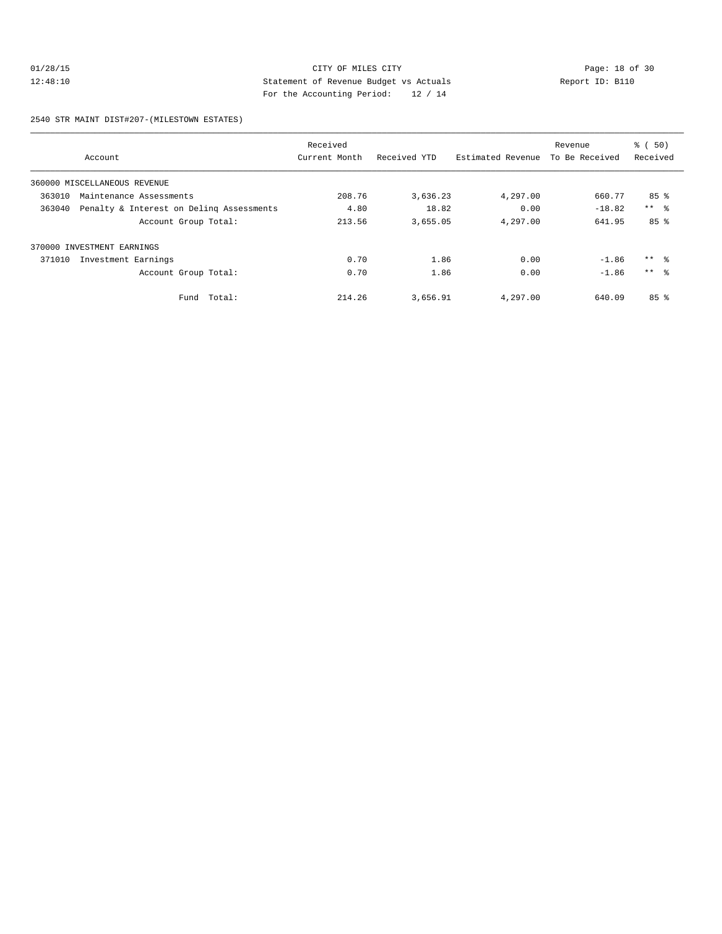# 01/28/15 CITY OF MILES CITY CHE CITY Page: 18 of 30<br>12:48:10 2011 2:48:10 Statement of Revenue Budget vs Actuals<br>2011 2:48:10 2011 2:48:10 2:48:10 2:48:10 12:48:10 Statement of Revenue Budget vs Actuals Report ID: B110 For the Accounting Period: 12 / 14

2540 STR MAINT DIST#207-(MILESTOWN ESTATES)

|        |                                          | Received      |              |                   | Revenue        | $\frac{1}{6}$ (50) |
|--------|------------------------------------------|---------------|--------------|-------------------|----------------|--------------------|
|        | Account                                  | Current Month | Received YTD | Estimated Revenue | To Be Received | Received           |
|        | 360000 MISCELLANEOUS REVENUE             |               |              |                   |                |                    |
| 363010 | Maintenance Assessments                  | 208.76        | 3,636.23     | 4,297.00          | 660.77         | 85 <sup>8</sup>    |
| 363040 | Penalty & Interest on Deling Assessments | 4.80          | 18.82        | 0.00              | $-18.82$       | $***$ %            |
|        | Account Group Total:                     | 213.56        | 3,655.05     | 4,297.00          | 641.95         | 85 <sup>8</sup>    |
|        | 370000 INVESTMENT EARNINGS               |               |              |                   |                |                    |
| 371010 | Investment Earnings                      | 0.70          | 1.86         | 0.00              | $-1.86$        | $***$ 8            |
|        | Account Group Total:                     | 0.70          | 1.86         | 0.00              | $-1.86$        | $***$ %            |
|        | Total:<br>Fund                           | 214.26        | 3,656.91     | 4,297.00          | 640.09         | 85 <sup>8</sup>    |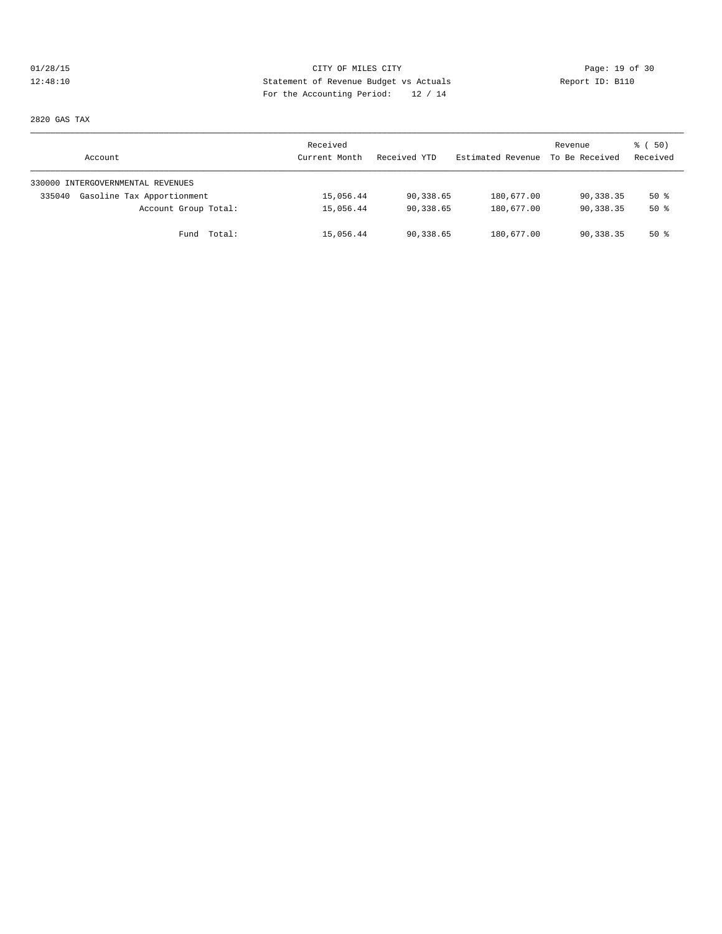# 01/28/15 Page: 19 of 30 12:48:10 Statement of Revenue Budget vs Actuals Report ID: B110 For the Accounting Period: 12 / 14

2820 GAS TAX

| Account                              | Received<br>Current Month | Received YTD | Estimated Revenue | Revenue<br>To Be Received | 8 ( 50)<br>Received |
|--------------------------------------|---------------------------|--------------|-------------------|---------------------------|---------------------|
| 330000 INTERGOVERNMENTAL REVENUES    |                           |              |                   |                           |                     |
| Gasoline Tax Apportionment<br>335040 | 15,056.44                 | 90,338.65    | 180,677.00        | 90,338.35                 | 50%                 |
| Account Group Total:                 | 15,056.44                 | 90,338.65    | 180,677.00        | 90,338.35                 | 50%                 |
| Fund Total:                          | 15,056.44                 | 90,338.65    | 180,677.00        | 90,338.35                 | $50*$               |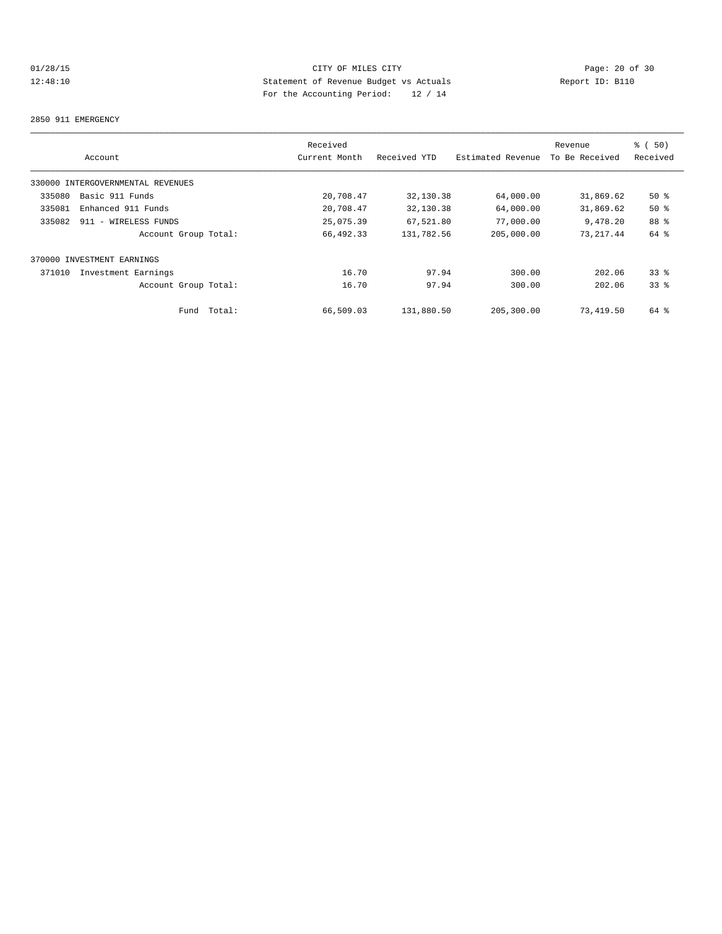# 01/28/15 Page: 20 of 30 12:48:10 Statement of Revenue Budget vs Actuals Report ID: B110 For the Accounting Period: 12 / 14

#### 2850 911 EMERGENCY

|        |                                   | Received      |              |                   | Revenue        | % (50)          |
|--------|-----------------------------------|---------------|--------------|-------------------|----------------|-----------------|
|        | Account                           | Current Month | Received YTD | Estimated Revenue | To Be Received | Received        |
|        | 330000 INTERGOVERNMENTAL REVENUES |               |              |                   |                |                 |
| 335080 | Basic 911 Funds                   | 20,708.47     | 32,130.38    | 64,000.00         | 31,869.62      | 50%             |
| 335081 | Enhanced 911 Funds                | 20,708.47     | 32,130.38    | 64,000.00         | 31,869.62      | $50*$           |
| 335082 | 911 - WIRELESS FUNDS              | 25,075.39     | 67,521.80    | 77,000.00         | 9,478.20       | 88 %            |
|        | Account Group Total:              | 66,492.33     | 131,782.56   | 205,000.00        | 73, 217.44     | 64 %            |
|        | 370000 INVESTMENT EARNINGS        |               |              |                   |                |                 |
| 371010 | Investment Earnings               | 16.70         | 97.94        | 300.00            | 202.06         | 338             |
|        | Account Group Total:              | 16.70         | 97.94        | 300.00            | 202.06         | 33 <sup>8</sup> |
|        | Total:<br>Fund                    | 66,509.03     | 131,880.50   | 205,300.00        | 73,419.50      | 64 %            |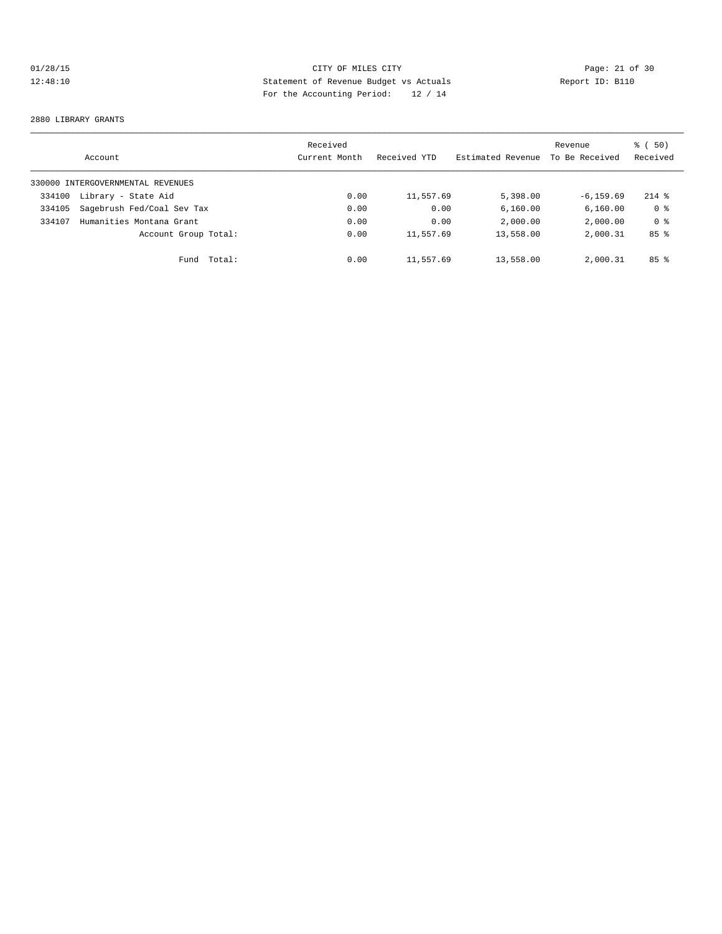# 01/28/15 Page: 21 of 30 12:48:10 Statement of Revenue Budget vs Actuals Report ID: B110 For the Accounting Period: 12 / 14

#### 2880 LIBRARY GRANTS

|        | Account                           |        | Received<br>Current Month | Received YTD | Estimated Revenue | Revenue<br>To Be Received | % ( 50)<br>Received |
|--------|-----------------------------------|--------|---------------------------|--------------|-------------------|---------------------------|---------------------|
|        | 330000 INTERGOVERNMENTAL REVENUES |        |                           |              |                   |                           |                     |
| 334100 | Library - State Aid               |        | 0.00                      | 11,557.69    | 5,398.00          | $-6, 159.69$              | $214$ %             |
| 334105 | Sagebrush Fed/Coal Sev Tax        |        | 0.00                      | 0.00         | 6,160.00          | 6, 160.00                 | 0 <sup>8</sup>      |
| 334107 | Humanities Montana Grant          |        | 0.00                      | 0.00         | 2,000.00          | 2,000.00                  | 0 <sup>8</sup>      |
|        | Account Group Total:              |        | 0.00                      | 11,557.69    | 13,558.00         | 2,000.31                  | 85%                 |
|        | Fund                              | Total: | 0.00                      | 11,557.69    | 13,558.00         | 2,000.31                  | 85 %                |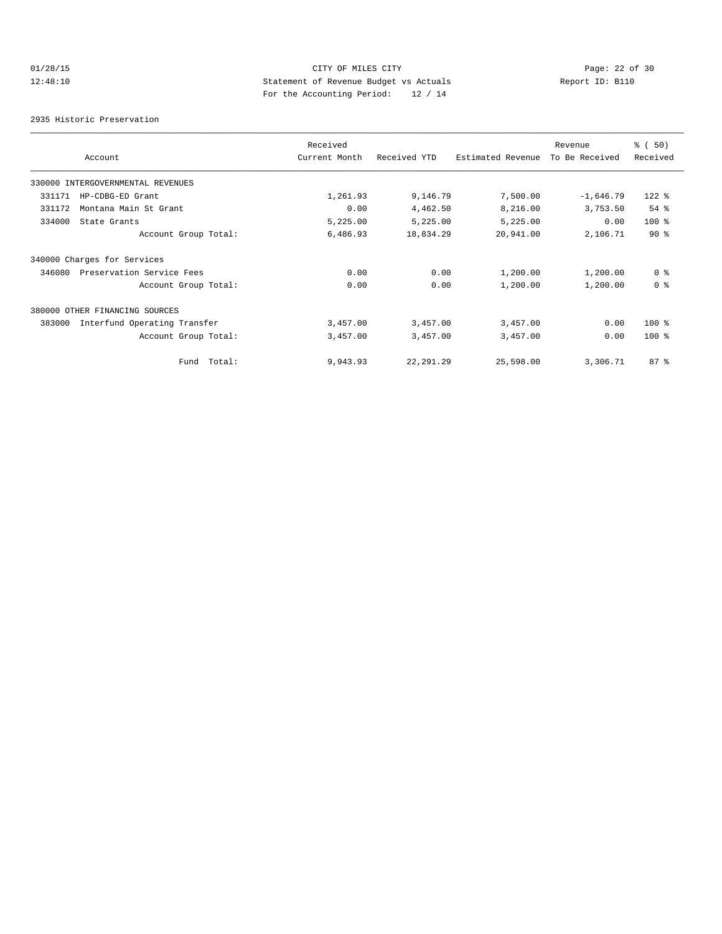# 01/28/15 Page: 22 of 30 12:48:10 Statement of Revenue Budget vs Actuals Report ID: B110 For the Accounting Period: 12 / 14

2935 Historic Preservation

|                                        | Received      |              |                   | Revenue        | % (50)         |
|----------------------------------------|---------------|--------------|-------------------|----------------|----------------|
| Account                                | Current Month | Received YTD | Estimated Revenue | To Be Received | Received       |
| 330000 INTERGOVERNMENTAL REVENUES      |               |              |                   |                |                |
| 331171<br>HP-CDBG-ED Grant             | 1,261.93      | 9,146.79     | 7,500.00          | $-1,646.79$    | $122$ %        |
| 331172<br>Montana Main St Grant        | 0.00          | 4,462.50     | 8,216.00          | 3,753.50       | 54 %           |
| 334000<br>State Grants                 | 5,225.00      | 5,225.00     | 5,225.00          | 0.00           | $100*$         |
| Account Group Total:                   | 6,486.93      | 18,834.29    | 20,941.00         | 2,106.71       | 90%            |
| 340000 Charges for Services            |               |              |                   |                |                |
| Preservation Service Fees<br>346080    | 0.00          | 0.00         | 1,200.00          | 1,200.00       | 0 <sup>8</sup> |
| Account Group Total:                   | 0.00          | 0.00         | 1,200.00          | 1,200.00       | 0 <sup>8</sup> |
| 380000 OTHER FINANCING SOURCES         |               |              |                   |                |                |
| Interfund Operating Transfer<br>383000 | 3,457.00      | 3,457.00     | 3,457.00          | 0.00           | $100$ %        |
| Account Group Total:                   | 3,457.00      | 3,457.00     | 3,457.00          | 0.00           | $100$ %        |
| Fund Total:                            | 9,943.93      | 22, 291.29   | 25,598.00         | 3,306.71       | 87%            |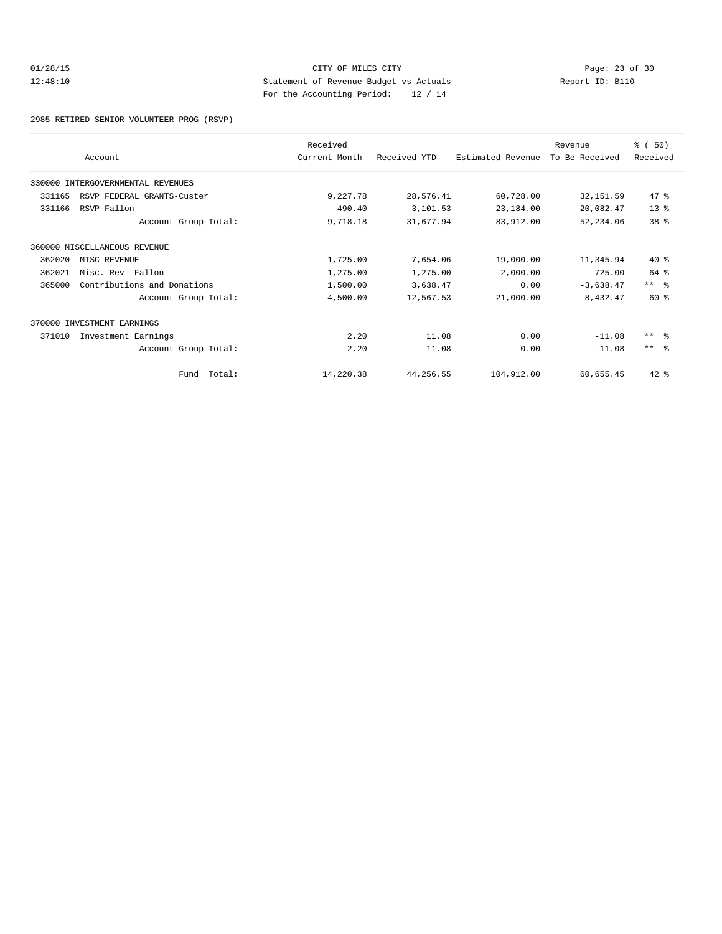# 01/28/15 Page: 23 of 30 12:48:10 Statement of Revenue Budget vs Actuals Report ID: B110 For the Accounting Period: 12 / 14

2985 RETIRED SENIOR VOLUNTEER PROG (RSVP)

|        |                                   | Received      |              |                   | Revenue        | % (50)          |
|--------|-----------------------------------|---------------|--------------|-------------------|----------------|-----------------|
|        | Account                           | Current Month | Received YTD | Estimated Revenue | To Be Received | Received        |
|        | 330000 INTERGOVERNMENTAL REVENUES |               |              |                   |                |                 |
| 331165 | RSVP FEDERAL GRANTS-Custer        | 9,227.78      | 28,576.41    | 60,728.00         | 32, 151.59     | 47 %            |
| 331166 | RSVP-Fallon                       | 490.40        | 3,101.53     | 23,184.00         | 20,082.47      | $13*$           |
|        | Account Group Total:              | 9,718.18      | 31,677.94    | 83,912.00         | 52, 234.06     | 38 %            |
|        | 360000 MISCELLANEOUS REVENUE      |               |              |                   |                |                 |
| 362020 | MISC REVENUE                      | 1,725.00      | 7,654.06     | 19,000.00         | 11,345.94      | $40*$           |
| 362021 | Misc. Rev- Fallon                 | 1,275.00      | 1,275.00     | 2,000.00          | 725.00         | 64 %            |
| 365000 | Contributions and Donations       | 1,500.00      | 3,638.47     | 0.00              | $-3,638.47$    | $***$ $\approx$ |
|        | Account Group Total:              | 4,500.00      | 12,567.53    | 21,000.00         | 8,432.47       | 60 %            |
|        | 370000 INVESTMENT EARNINGS        |               |              |                   |                |                 |
| 371010 | Investment Earnings               | 2.20          | 11.08        | 0.00              | $-11.08$       | $***$ $\approx$ |
|        | Account Group Total:              | 2.20          | 11.08        | 0.00              | $-11.08$       | $***$ $\approx$ |
|        | Fund Total:                       | 14,220.38     | 44,256.55    | 104,912.00        | 60,655.45      | $42*$           |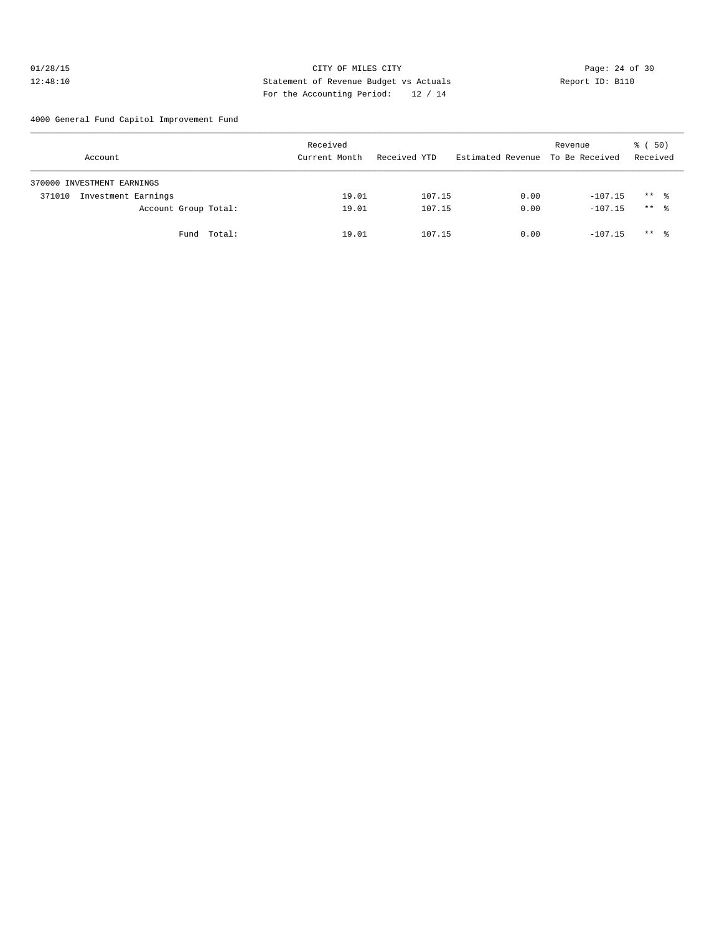# 01/28/15 Page: 24 of 30 12:48:10 Statement of Revenue Budget vs Actuals Report ID: B110 For the Accounting Period: 12 / 14

4000 General Fund Capitol Improvement Fund

| Account                       | Received<br>Current Month | Received YTD | Estimated Revenue To Be Received | Revenue   | 8 ( 50)<br>Received |
|-------------------------------|---------------------------|--------------|----------------------------------|-----------|---------------------|
| 370000 INVESTMENT EARNINGS    |                           |              |                                  |           |                     |
| Investment Earnings<br>371010 | 19.01                     | 107.15       | 0.00                             | $-107.15$ | $***$ %             |
| Account Group Total:          | 19.01                     | 107.15       | 0.00                             | $-107.15$ | $***$ %             |
| Fund Total:                   | 19.01                     | 107.15       | 0.00                             | $-107.15$ | $***$ %             |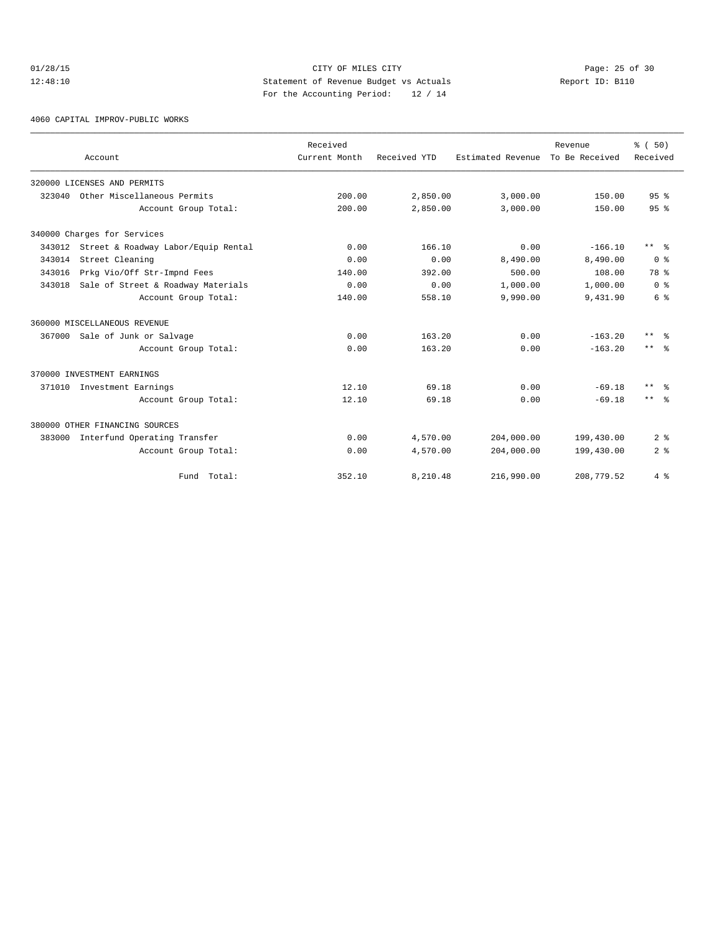# 01/28/15 Page: 25 of 30 12:48:10 Statement of Revenue Budget vs Actuals Report ID: B110 For the Accounting Period: 12 / 14

4060 CAPITAL IMPROV-PUBLIC WORKS

|        | Account                             | Received<br>Current Month | Received YTD | Estimated Revenue To Be Received | Revenue    | % (50)<br>Received      |
|--------|-------------------------------------|---------------------------|--------------|----------------------------------|------------|-------------------------|
|        | 320000 LICENSES AND PERMITS         |                           |              |                                  |            |                         |
| 323040 | Other Miscellaneous Permits         | 200.00                    | 2,850.00     | 3,000.00                         | 150.00     | 95 <sup>8</sup>         |
|        | Account Group Total:                | 200.00                    | 2,850.00     | 3,000.00                         | 150.00     | 95 <sup>8</sup>         |
|        | 340000 Charges for Services         |                           |              |                                  |            |                         |
| 343012 | Street & Roadway Labor/Equip Rental | 0.00                      | 166.10       | 0.00                             | $-166.10$  | $***$ $\approx$         |
| 343014 | Street Cleaning                     | 0.00                      | 0.00         | 8,490.00                         | 8,490.00   | 0 <sup>8</sup>          |
| 343016 | Prkg Vio/Off Str-Impnd Fees         | 140.00                    | 392.00       | 500.00                           | 108.00     | 78 %                    |
| 343018 | Sale of Street & Roadway Materials  | 0.00                      | 0.00         | 1,000.00                         | 1,000.00   | 0 <sup>8</sup>          |
|        | Account Group Total:                | 140.00                    | 558.10       | 9,990.00                         | 9,431.90   | 6 %                     |
|        | 360000 MISCELLANEOUS REVENUE        |                           |              |                                  |            |                         |
|        | 367000 Sale of Junk or Salvage      | 0.00                      | 163.20       | 0.00                             | $-163.20$  | $***$ $%$               |
|        | Account Group Total:                | 0.00                      | 163.20       | 0.00                             | $-163.20$  | $***$ $=$ $\frac{6}{5}$ |
|        | 370000 INVESTMENT EARNINGS          |                           |              |                                  |            |                         |
| 371010 | Investment Earnings                 | 12.10                     | 69.18        | 0.00                             | $-69.18$   | $***$<br>ু ≳            |
|        | Account Group Total:                | 12.10                     | 69.18        | 0.00                             | $-69.18$   | $***$ $\approx$         |
|        | 380000 OTHER FINANCING SOURCES      |                           |              |                                  |            |                         |
| 383000 | Interfund Operating Transfer        | 0.00                      | 4,570.00     | 204,000.00                       | 199,430.00 | 2 <sup>8</sup>          |
|        | Account Group Total:                | 0.00                      | 4,570.00     | 204,000.00                       | 199,430.00 | 2 <sup>8</sup>          |
|        | Fund Total:                         | 352.10                    | 8,210.48     | 216,990.00                       | 208,779.52 | 4%                      |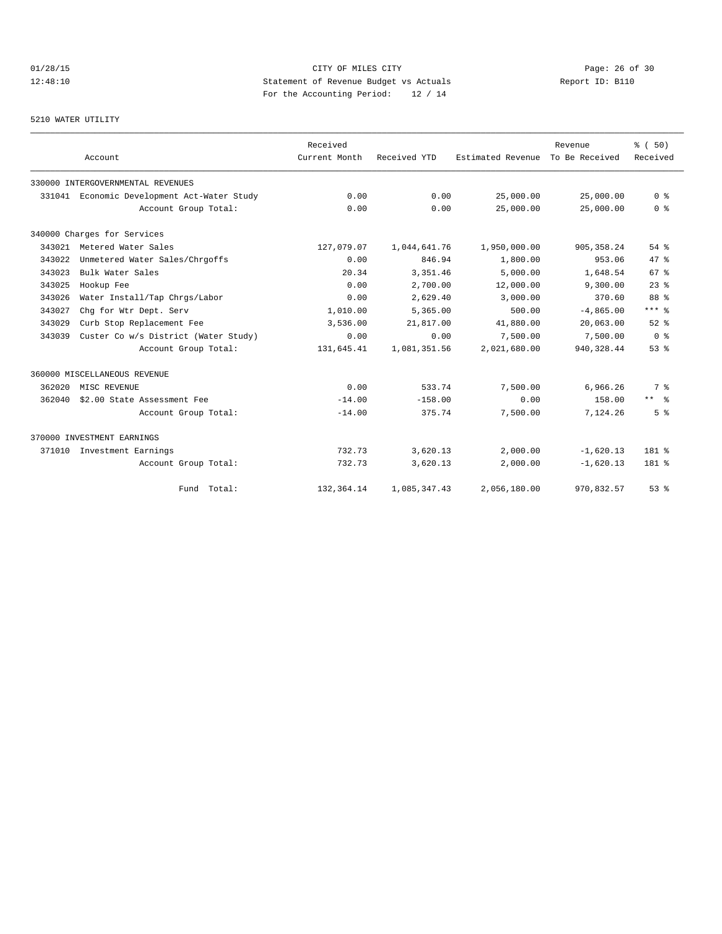# 01/28/15 Page: 26 of 30 12:48:10 Statement of Revenue Budget vs Actuals Report ID: B110<br>Report ID: B110 For the Accounting Period: 12 / 14

#### 5210 WATER UTILITY

|        | Account                                     | Received<br>Current Month | Received YTD | Estimated Revenue | Revenue<br>To Be Received | % (50)<br>Received |
|--------|---------------------------------------------|---------------------------|--------------|-------------------|---------------------------|--------------------|
|        | 330000 INTERGOVERNMENTAL REVENUES           |                           |              |                   |                           |                    |
|        | 331041 Economic Development Act-Water Study | 0.00                      | 0.00         | 25,000.00         | 25,000.00                 | 0 <sup>8</sup>     |
|        | Account Group Total:                        | 0.00                      | 0.00         | 25,000.00         | 25,000.00                 | 0 <sup>8</sup>     |
|        | 340000 Charges for Services                 |                           |              |                   |                           |                    |
| 343021 | Metered Water Sales                         | 127,079.07                | 1,044,641.76 | 1,950,000.00      | 905, 358.24               | 54%                |
| 343022 | Unmetered Water Sales/Chrgoffs              | 0.00                      | 846.94       | 1,800.00          | 953.06                    | $47*$              |
| 343023 | Bulk Water Sales                            | 20.34                     | 3,351.46     | 5,000.00          | 1,648.54                  | 67 <sup>8</sup>    |
| 343025 | Hookup Fee                                  | 0.00                      | 2,700.00     | 12,000.00         | 9,300.00                  | $23$ $%$           |
| 343026 | Water Install/Tap Chrgs/Labor               | 0.00                      | 2,629.40     | 3,000.00          | 370.60                    | 88 %               |
| 343027 | Chq for Wtr Dept. Serv                      | 1,010.00                  | 5,365.00     | 500.00            | $-4,865.00$               | $***$ $%$          |
| 343029 | Curb Stop Replacement Fee                   | 3,536.00                  | 21,817.00    | 41,880.00         | 20,063.00                 | $52$ $%$           |
| 343039 | Custer Co w/s District (Water Study)        | 0.00                      | 0.00         | 7,500.00          | 7,500.00                  | 0 <sup>8</sup>     |
|        | Account Group Total:                        | 131,645.41                | 1,081,351.56 | 2,021,680.00      | 940, 328.44               | 53%                |
|        | 360000 MISCELLANEOUS REVENUE                |                           |              |                   |                           |                    |
| 362020 | MISC REVENUE                                | 0.00                      | 533.74       | 7,500.00          | 6,966.26                  | 7 <sup>°</sup>     |
| 362040 | \$2.00 State Assessment Fee                 | $-14.00$                  | $-158.00$    | 0.00              | 158.00                    | $***$ $ -$         |
|        | Account Group Total:                        | $-14.00$                  | 375.74       | 7,500.00          | 7.124.26                  | 5 <sup>8</sup>     |
|        | 370000 INVESTMENT EARNINGS                  |                           |              |                   |                           |                    |
| 371010 | Investment Earnings                         | 732.73                    | 3,620.13     | 2,000.00          | $-1.620.13$               | $181*$             |
|        | Account Group Total:                        | 732.73                    | 3,620.13     | 2,000.00          | $-1,620.13$               | $181*$             |
|        | Fund Total:                                 | 132, 364.14               | 1,085,347.43 | 2,056,180.00      | 970,832.57                | 53%                |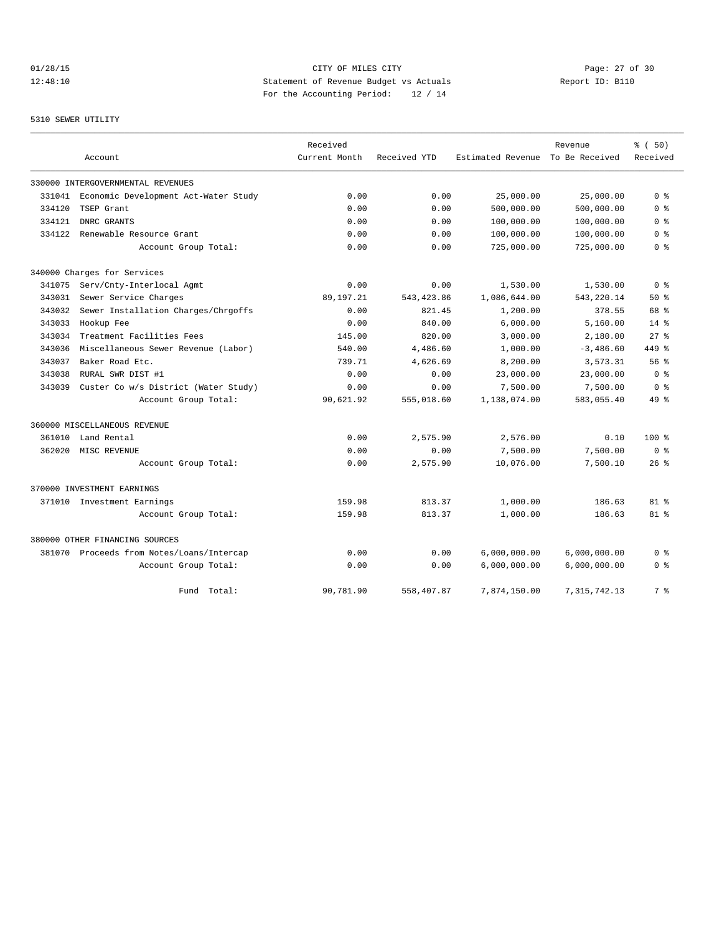# 01/28/15 Page: 27 of 30 12:48:10 Statement of Revenue Budget vs Actuals Report ID: B110 For the Accounting Period: 12 / 14

# 5310 SEWER UTILITY

|        |                                           | Received      |              |                   | Revenue        | % (50)         |
|--------|-------------------------------------------|---------------|--------------|-------------------|----------------|----------------|
|        | Account                                   | Current Month | Received YTD | Estimated Revenue | To Be Received | Received       |
|        | 330000 INTERGOVERNMENTAL REVENUES         |               |              |                   |                |                |
| 331041 | Economic Development Act-Water Study      | 0.00          | 0.00         | 25,000.00         | 25,000.00      | 0 <sup>8</sup> |
| 334120 | TSEP Grant                                | 0.00          | 0.00         | 500,000.00        | 500,000.00     | 0 <sup>8</sup> |
| 334121 | DNRC GRANTS                               | 0.00          | 0.00         | 100,000.00        | 100,000.00     | 0 %            |
| 334122 | Renewable Resource Grant                  | 0.00          | 0.00         | 100,000.00        | 100,000.00     | 0 <sup>8</sup> |
|        | Account Group Total:                      | 0.00          | 0.00         | 725,000.00        | 725,000.00     | 0 <sup>8</sup> |
|        | 340000 Charges for Services               |               |              |                   |                |                |
| 341075 | Serv/Cnty-Interlocal Agmt                 | 0.00          | 0.00         | 1,530.00          | 1,530.00       | 0 <sup>8</sup> |
| 343031 | Sewer Service Charges                     | 89,197.21     | 543, 423.86  | 1,086,644.00      | 543, 220.14    | 50%            |
| 343032 | Sewer Installation Charges/Chrgoffs       | 0.00          | 821.45       | 1,200.00          | 378.55         | 68 %           |
| 343033 | Hookup Fee                                | 0.00          | 840.00       | 6,000.00          | 5.160.00       | 14%            |
| 343034 | Treatment Facilities Fees                 | 145.00        | 820.00       | 3,000.00          | 2,180.00       | $27$ %         |
| 343036 | Miscellaneous Sewer Revenue (Labor)       | 540.00        | 4,486.60     | 1,000.00          | $-3,486.60$    | 449 %          |
| 343037 | Baker Road Etc.                           | 739.71        | 4,626.69     | 8,200.00          | 3,573.31       | 56%            |
| 343038 | RURAL SWR DIST #1                         | 0.00          | 0.00         | 23,000.00         | 23,000.00      | 0 <sup>8</sup> |
| 343039 | Custer Co w/s District (Water Study)      | 0.00          | 0.00         | 7,500.00          | 7,500.00       | 0 <sup>8</sup> |
|        | Account Group Total:                      | 90,621.92     | 555,018.60   | 1,138,074.00      | 583,055.40     | 49 %           |
|        | 360000 MISCELLANEOUS REVENUE              |               |              |                   |                |                |
| 361010 | Land Rental                               | 0.00          | 2,575.90     | 2,576.00          | 0.10           | $100*$         |
| 362020 | MISC REVENUE                              | 0.00          | 0.00         | 7,500.00          | 7,500.00       | 0 <sup>8</sup> |
|        | Account Group Total:                      | 0.00          | 2,575.90     | 10,076.00         | 7,500.10       | $26$ %         |
|        | 370000 INVESTMENT EARNINGS                |               |              |                   |                |                |
| 371010 | Investment Earnings                       | 159.98        | 813.37       | 1,000.00          | 186.63         | $81 - 8$       |
|        | Account Group Total:                      | 159.98        | 813.37       | 1,000.00          | 186.63         | $81*$          |
|        | 380000 OTHER FINANCING SOURCES            |               |              |                   |                |                |
|        | 381070 Proceeds from Notes/Loans/Intercap | 0.00          | 0.00         | 6,000,000.00      | 6,000,000.00   | 0 %            |
|        | Account Group Total:                      | 0.00          | 0.00         | 6,000,000.00      | 6,000,000.00   | 0 <sup>8</sup> |
|        | Fund Total:                               | 90,781.90     | 558,407.87   | 7,874,150.00      | 7, 315, 742.13 | 7%             |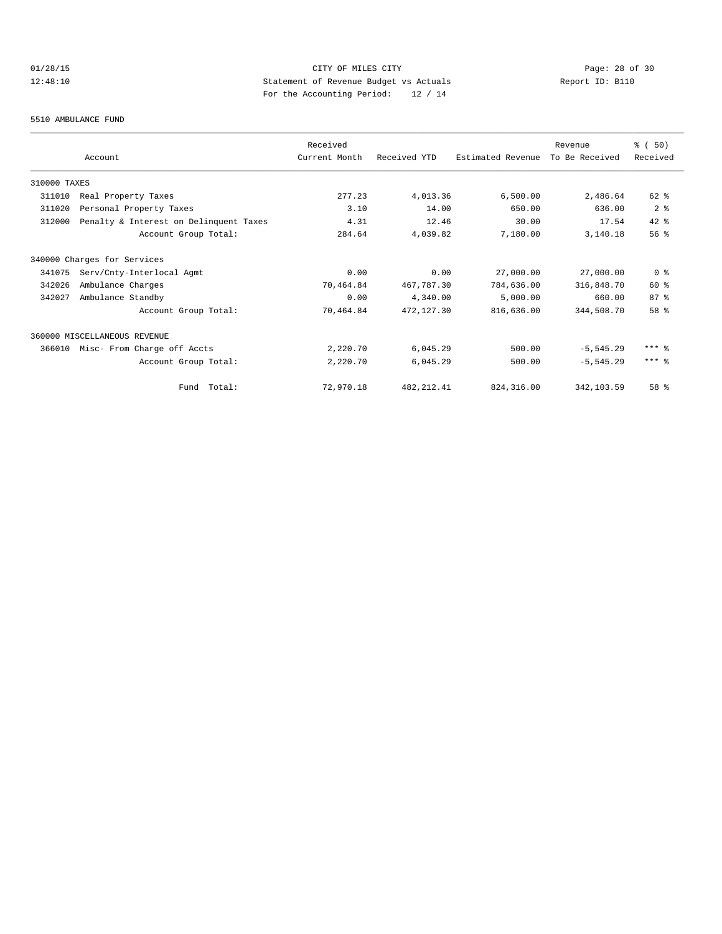# 01/28/15 CITY OF MILES CITY Page: 28 of 30 12:48:10 Statement of Revenue Budget vs Actuals Report ID: B110 For the Accounting Period: 12 / 14

#### 5510 AMBULANCE FUND

|              |                                        | Received      |              |                   | Revenue        | <sub>ර</sub> ි (50) |
|--------------|----------------------------------------|---------------|--------------|-------------------|----------------|---------------------|
|              | Account                                | Current Month | Received YTD | Estimated Revenue | To Be Received | Received            |
| 310000 TAXES |                                        |               |              |                   |                |                     |
| 311010       | Real Property Taxes                    | 277.23        | 4,013.36     | 6,500.00          | 2,486.64       | 62 %                |
| 311020       | Personal Property Taxes                | 3.10          | 14.00        | 650.00            | 636.00         | 2 <sup>°</sup>      |
| 312000       | Penalty & Interest on Delinquent Taxes | 4.31          | 12.46        | 30.00             | 17.54          | $42$ $%$            |
|              | Account Group Total:                   | 284.64        | 4,039.82     | 7,180.00          | 3,140.18       | 56%                 |
|              | 340000 Charges for Services            |               |              |                   |                |                     |
| 341075       | Serv/Cnty-Interlocal Agmt              | 0.00          | 0.00         | 27,000.00         | 27,000.00      | 0 <sup>8</sup>      |
| 342026       | Ambulance Charges                      | 70,464.84     | 467,787.30   | 784,636.00        | 316,848.70     | 60 %                |
| 342027       | Ambulance Standby                      | 0.00          | 4,340.00     | 5,000.00          | 660.00         | 87%                 |
|              | Account Group Total:                   | 70,464.84     | 472,127.30   | 816,636.00        | 344,508.70     | 58 %                |
|              | 360000 MISCELLANEOUS REVENUE           |               |              |                   |                |                     |
| 366010       | Misc- From Charge off Accts            | 2,220.70      | 6,045.29     | 500.00            | $-5.545.29$    | $***$ 8             |
|              | Account Group Total:                   | 2,220.70      | 6,045.29     | 500.00            | $-5.545.29$    | $***$ 8             |
|              | Fund Total:                            | 72,970.18     | 482, 212.41  | 824, 316, 00      | 342,103.59     | 58 %                |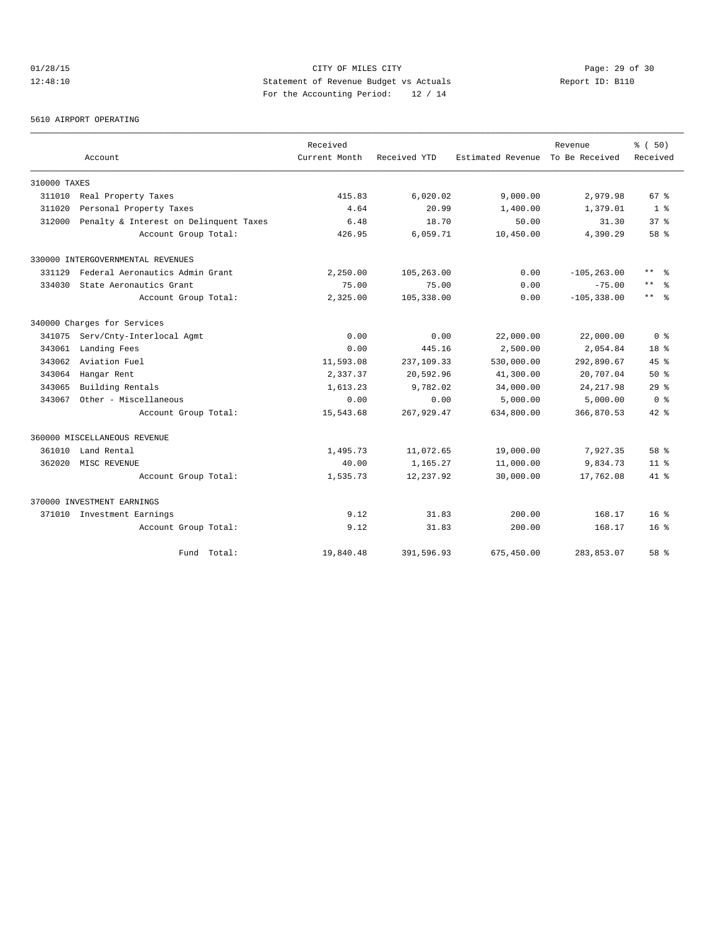# 01/28/15 Page: 29 of 30 12:48:10 Statement of Revenue Budget vs Actuals Report ID: B110 For the Accounting Period: 12 / 14

#### 5610 AIRPORT OPERATING

|              |                                        | Received      |              |                   | Revenue        | % (50)          |
|--------------|----------------------------------------|---------------|--------------|-------------------|----------------|-----------------|
|              | Account                                | Current Month | Received YTD | Estimated Revenue | To Be Received | Received        |
| 310000 TAXES |                                        |               |              |                   |                |                 |
| 311010       | Real Property Taxes                    | 415.83        | 6,020.02     | 9,000.00          | 2,979.98       | 67 <sup>8</sup> |
| 311020       | Personal Property Taxes                | 4.64          | 20.99        | 1,400.00          | 1,379.01       | 1 <sup>8</sup>  |
| 312000       | Penalty & Interest on Delinquent Taxes | 6.48          | 18.70        | 50.00             | 31.30          | 37 <sup>8</sup> |
|              | Account Group Total:                   | 426.95        | 6,059.71     | 10,450.00         | 4,390.29       | 58 %            |
|              | 330000 INTERGOVERNMENTAL REVENUES      |               |              |                   |                |                 |
| 331129       | Federal Aeronautics Admin Grant        | 2,250.00      | 105,263.00   | 0.00              | $-105, 263.00$ | $***$<br>ွေ     |
| 334030       | State Aeronautics Grant                | 75.00         | 75.00        | 0.00              | $-75.00$       | $***$           |
|              | Account Group Total:                   | 2,325.00      | 105,338.00   | 0.00              | $-105, 338.00$ | $***$<br>- 옹    |
|              | 340000 Charges for Services            |               |              |                   |                |                 |
|              | 341075 Serv/Cnty-Interlocal Agmt       | 0.00          | 0.00         | 22,000.00         | 22,000.00      | 0 <sup>8</sup>  |
| 343061       | Landing Fees                           | 0.00          | 445.16       | 2,500.00          | 2,054.84       | 18 <sup>8</sup> |
| 343062       | Aviation Fuel                          | 11,593.08     | 237,109.33   | 530,000.00        | 292,890.67     | 45%             |
| 343064       | Hangar Rent                            | 2,337.37      | 20,592.96    | 41,300.00         | 20,707.04      | 50%             |
| 343065       | Building Rentals                       | 1,613.23      | 9,782.02     | 34,000.00         | 24, 217.98     | 29%             |
| 343067       | Other - Miscellaneous                  | 0.00          | 0.00         | 5,000.00          | 5,000.00       | 0 <sup>8</sup>  |
|              | Account Group Total:                   | 15,543.68     | 267, 929, 47 | 634,800.00        | 366,870.53     | $42*$           |
|              | 360000 MISCELLANEOUS REVENUE           |               |              |                   |                |                 |
| 361010       | Land Rental                            | 1,495.73      | 11,072.65    | 19,000.00         | 7,927.35       | 58 %            |
| 362020       | MISC REVENUE                           | 40.00         | 1,165.27     | 11,000.00         | 9,834.73       | 11 <sup>8</sup> |
|              | Account Group Total:                   | 1,535.73      | 12,237.92    | 30,000.00         | 17,762.08      | 41.8            |
|              | 370000 INVESTMENT EARNINGS             |               |              |                   |                |                 |
|              | 371010 Investment Earnings             | 9.12          | 31.83        | 200.00            | 168.17         | 16 <sup>8</sup> |
|              | Account Group Total:                   | 9.12          | 31.83        | 200.00            | 168.17         | $16*$           |
|              | Fund Total:                            | 19,840.48     | 391,596.93   | 675,450.00        | 283,853.07     | 58 %            |